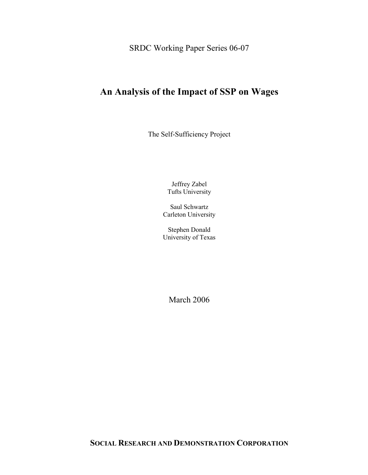SRDC Working Paper Series 06-07

# **An Analysis of the Impact of SSP on Wages**

The Self-Sufficiency Project

Jeffrey Zabel Tufts University

Saul Schwartz Carleton University

Stephen Donald University of Texas

March 2006

**SOCIAL RESEARCH AND DEMONSTRATION CORPORATION**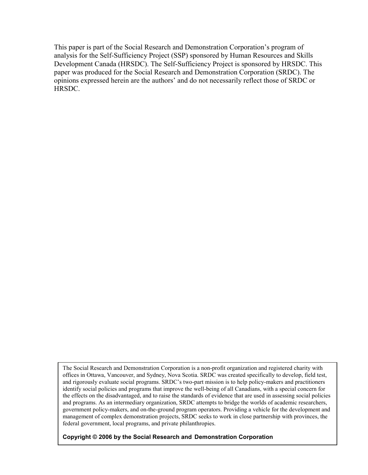This paper is part of the Social Research and Demonstration Corporation's program of analysis for the Self-Sufficiency Project (SSP) sponsored by Human Resources and Skills Development Canada (HRSDC). The Self-Sufficiency Project is sponsored by HRSDC. This paper was produced for the Social Research and Demonstration Corporation (SRDC). The opinions expressed herein are the authors' and do not necessarily reflect those of SRDC or HRSDC.

The Social Research and Demonstration Corporation is a non-profit organization and registered charity with offices in Ottawa, Vancouver, and Sydney, Nova Scotia. SRDC was created specifically to develop, field test, and rigorously evaluate social programs. SRDC's two-part mission is to help policy-makers and practitioners identify social policies and programs that improve the well-being of all Canadians, with a special concern for the effects on the disadvantaged, and to raise the standards of evidence that are used in assessing social policies and programs. As an intermediary organization, SRDC attempts to bridge the worlds of academic researchers, government policy-makers, and on-the-ground program operators. Providing a vehicle for the development and management of complex demonstration projects, SRDC seeks to work in close partnership with provinces, the federal government, local programs, and private philanthropies.

### **Copyright © 2006 by the Social Research and Demonstration Corporation**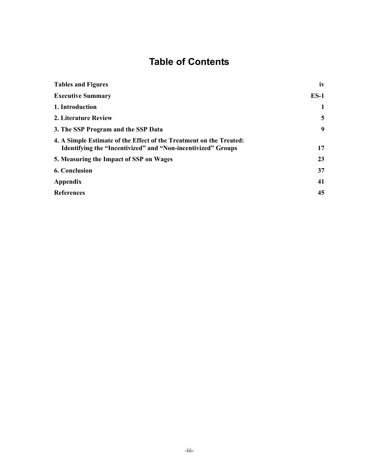# **Table of Contents**

| <b>Tables and Figures</b>                                                                                                           | iv     |
|-------------------------------------------------------------------------------------------------------------------------------------|--------|
| <b>Executive Summary</b>                                                                                                            | $ES-1$ |
| 1. Introduction                                                                                                                     | 1      |
| 2. Literature Review                                                                                                                | 5      |
| 3. The SSP Program and the SSP Data                                                                                                 | 9      |
| 4. A Simple Estimate of the Effect of the Treatment on the Treated:<br>Identifying the "Incentivized" and "Non-incentivized" Groups | 17     |
| 5. Measuring the Impact of SSP on Wages                                                                                             | 23     |
| <b>6. Conclusion</b>                                                                                                                | 37     |
| <b>Appendix</b>                                                                                                                     | 41     |
| <b>References</b>                                                                                                                   | 45     |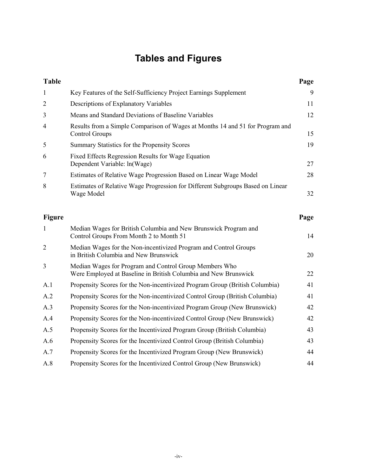# **Tables and Figures**

| <b>Table</b>   |                                                                                                                           | Page |
|----------------|---------------------------------------------------------------------------------------------------------------------------|------|
| $\mathbf{1}$   | Key Features of the Self-Sufficiency Project Earnings Supplement                                                          | 9    |
| $\overline{2}$ | Descriptions of Explanatory Variables                                                                                     | 11   |
| 3              | Means and Standard Deviations of Baseline Variables                                                                       | 12   |
| 4              | Results from a Simple Comparison of Wages at Months 14 and 51 for Program and<br><b>Control Groups</b>                    | 15   |
| 5              | Summary Statistics for the Propensity Scores                                                                              | 19   |
| 6              | Fixed Effects Regression Results for Wage Equation<br>Dependent Variable: ln(Wage)                                        | 27   |
| 7              | Estimates of Relative Wage Progression Based on Linear Wage Model                                                         | 28   |
| 8              | Estimates of Relative Wage Progression for Different Subgroups Based on Linear<br>Wage Model                              | 32   |
| <b>Figure</b>  |                                                                                                                           | Page |
| $\mathbf{1}$   | Median Wages for British Columbia and New Brunswick Program and<br>Control Groups From Month 2 to Month 51                | 14   |
| $\overline{2}$ | Median Wages for the Non-incentivized Program and Control Groups<br>in British Columbia and New Brunswick                 | 20   |
| 3              | Median Wages for Program and Control Group Members Who<br>Were Employed at Baseline in British Columbia and New Brunswick | 22   |
| A.1            | Propensity Scores for the Non-incentivized Program Group (British Columbia)                                               | 41   |
| A.2            | Propensity Scores for the Non-incentivized Control Group (British Columbia)                                               | 41   |
| A.3            | Propensity Scores for the Non-incentivized Program Group (New Brunswick)                                                  | 42   |
| A.4            | Propensity Scores for the Non-incentivized Control Group (New Brunswick)                                                  | 42   |
| A.5            | Propensity Scores for the Incentivized Program Group (British Columbia)                                                   | 43   |
| A.6            | Propensity Scores for the Incentivized Control Group (British Columbia)                                                   | 43   |
| A.7            | Propensity Scores for the Incentivized Program Group (New Brunswick)                                                      | 44   |
| A.8            | Propensity Scores for the Incentivized Control Group (New Brunswick)                                                      | 44   |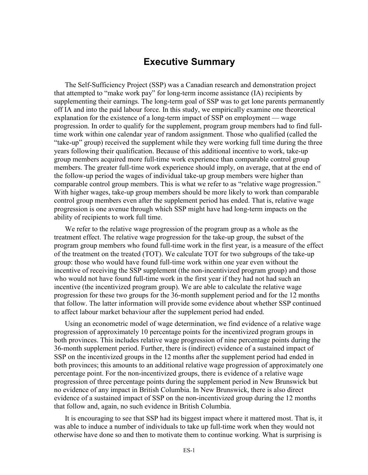### **Executive Summary**

The Self-Sufficiency Project (SSP) was a Canadian research and demonstration project that attempted to "make work pay" for long-term income assistance (IA) recipients by supplementing their earnings. The long-term goal of SSP was to get lone parents permanently off IA and into the paid labour force. In this study, we empirically examine one theoretical explanation for the existence of a long-term impact of SSP on employment — wage progression. In order to qualify for the supplement, program group members had to find fulltime work within one calendar year of random assignment. Those who qualified (called the "take-up" group) received the supplement while they were working full time during the three years following their qualification. Because of this additional incentive to work, take-up group members acquired more full-time work experience than comparable control group members. The greater full-time work experience should imply, on average, that at the end of the follow-up period the wages of individual take-up group members were higher than comparable control group members. This is what we refer to as "relative wage progression." With higher wages, take-up group members should be more likely to work than comparable control group members even after the supplement period has ended. That is, relative wage progression is one avenue through which SSP might have had long-term impacts on the ability of recipients to work full time.

We refer to the relative wage progression of the program group as a whole as the treatment effect. The relative wage progression for the take-up group, the subset of the program group members who found full-time work in the first year, is a measure of the effect of the treatment on the treated (TOT). We calculate TOT for two subgroups of the take-up group: those who would have found full-time work within one year even without the incentive of receiving the SSP supplement (the non-incentivized program group) and those who would not have found full-time work in the first year if they had not had such an incentive (the incentivized program group). We are able to calculate the relative wage progression for these two groups for the 36-month supplement period and for the 12 months that follow. The latter information will provide some evidence about whether SSP continued to affect labour market behaviour after the supplement period had ended.

Using an econometric model of wage determination, we find evidence of a relative wage progression of approximately 10 percentage points for the incentivized program groups in both provinces. This includes relative wage progression of nine percentage points during the 36-month supplement period. Further, there is (indirect) evidence of a sustained impact of SSP on the incentivized groups in the 12 months after the supplement period had ended in both provinces; this amounts to an additional relative wage progression of approximately one percentage point. For the non-incentivized groups, there is evidence of a relative wage progression of three percentage points during the supplement period in New Brunswick but no evidence of any impact in British Columbia. In New Brunswick, there is also direct evidence of a sustained impact of SSP on the non-incentivized group during the 12 months that follow and, again, no such evidence in British Columbia.

It is encouraging to see that SSP had its biggest impact where it mattered most. That is, it was able to induce a number of individuals to take up full-time work when they would not otherwise have done so and then to motivate them to continue working. What is surprising is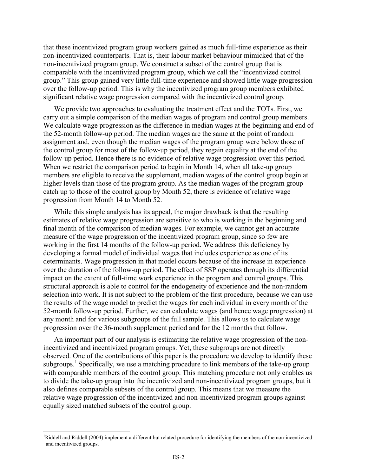that these incentivized program group workers gained as much full-time experience as their non-incentivized counterparts. That is, their labour market behaviour mimicked that of the non-incentivized program group. We construct a subset of the control group that is comparable with the incentivized program group, which we call the "incentivized control group." This group gained very little full-time experience and showed little wage progression over the follow-up period. This is why the incentivized program group members exhibited significant relative wage progression compared with the incentivized control group.

We provide two approaches to evaluating the treatment effect and the TOTs. First, we carry out a simple comparison of the median wages of program and control group members. We calculate wage progression as the difference in median wages at the beginning and end of the 52-month follow-up period. The median wages are the same at the point of random assignment and, even though the median wages of the program group were below those of the control group for most of the follow-up period, they regain equality at the end of the follow-up period. Hence there is no evidence of relative wage progression over this period. When we restrict the comparison period to begin in Month 14, when all take-up group members are eligible to receive the supplement, median wages of the control group begin at higher levels than those of the program group. As the median wages of the program group catch up to those of the control group by Month 52, there is evidence of relative wage progression from Month 14 to Month 52.

While this simple analysis has its appeal, the major drawback is that the resulting estimates of relative wage progression are sensitive to who is working in the beginning and final month of the comparison of median wages. For example, we cannot get an accurate measure of the wage progression of the incentivized program group, since so few are working in the first 14 months of the follow-up period. We address this deficiency by developing a formal model of individual wages that includes experience as one of its determinants. Wage progression in that model occurs because of the increase in experience over the duration of the follow-up period. The effect of SSP operates through its differential impact on the extent of full-time work experience in the program and control groups. This structural approach is able to control for the endogeneity of experience and the non-random selection into work. It is not subject to the problem of the first procedure, because we can use the results of the wage model to predict the wages for each individual in every month of the 52-month follow-up period. Further, we can calculate wages (and hence wage progression) at any month and for various subgroups of the full sample. This allows us to calculate wage progression over the 36-month supplement period and for the 12 months that follow.

An important part of our analysis is estimating the relative wage progression of the nonincentivized and incentivized program groups. Yet, these subgroups are not directly observed. One of the contributions of this paper is the procedure we develop to identify these subgroups.<sup>1</sup> Specifically, we use a matching procedure to link members of the take-up group with comparable members of the control group. This matching procedure not only enables us to divide the take-up group into the incentivized and non-incentivized program groups, but it also defines comparable subsets of the control group. This means that we measure the relative wage progression of the incentivized and non-incentivized program groups against equally sized matched subsets of the control group.

 $\overline{a}$ 

<sup>&</sup>lt;sup>1</sup>Riddell and Riddell (2004) implement a different but related procedure for identifying the members of the non-incentivized and incentivized groups.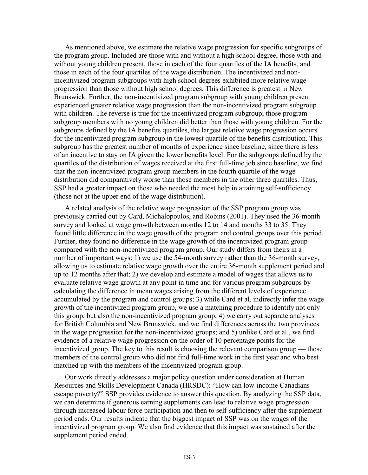As mentioned above, we estimate the relative wage progression for specific subgroups of the program group. Included are those with and without a high school degree, those with and without young children present, those in each of the four quartiles of the IA benefits, and those in each of the four quartiles of the wage distribution. The incentivized and nonincentivized program subgroups with high school degrees exhibited more relative wage progression than those without high school degrees. This difference is greatest in New Brunswick. Further, the non-incentivized program subgroup with young children present experienced greater relative wage progression than the non-incentivized program subgroup with children. The reverse is true for the incentivized program subgroup; those program subgroup members with no young children did better than those with young children. For the subgroups defined by the IA benefits quartiles, the largest relative wage progression occurs for the incentivized program subgroup in the lowest quartile of the benefits distribution. This subgroup has the greatest number of months of experience since baseline, since there is less of an incentive to stay on IA given the lower benefits level. For the subgroups defined by the quartiles of the distribution of wages received at the first full-time job since baseline, we find that the non-incentivized program group members in the fourth quartile of the wage distribution did comparatively worse than those members in the other three quartiles. Thus, SSP had a greater impact on those who needed the most help in attaining self-sufficiency (those not at the upper end of the wage distribution).

A related analysis of the relative wage progression of the SSP program group was previously carried out by Card, Michalopoulos, and Robins (2001). They used the 36-month survey and looked at wage growth between months 12 to 14 and months 33 to 35. They found little difference in the wage growth of the program and control groups over this period. Further, they found no difference in the wage growth of the incentivized program group compared with the non-incentivized program group. Our study differs from theirs in a number of important ways: 1) we use the 54-month survey rather than the 36-month survey, allowing us to estimate relative wage growth over the entire 36-month supplement period and up to 12 months after that; 2) we develop and estimate a model of wages that allows us to evaluate relative wage growth at any point in time and for various program subgroups by calculating the difference in mean wages arising from the different levels of experience accumulated by the program and control groups; 3) while Card et al. indirectly infer the wage growth of the incentivized program group, we use a matching procedure to identify not only this group, but also the non-incentivized program group; 4) we carry out separate analyses for British Columbia and New Brunswick, and we find differences across the two provinces in the wage progression for the non-incentivized groups; and 5) unlike Card et al., we find evidence of a relative wage progression on the order of 10 percentage points for the incentivized group. The key to this result is choosing the relevant comparison group — those members of the control group who did not find full-time work in the first year and who best matched up with the members of the incentivized program group.

Our work directly addresses a major policy question under consideration at Human Resources and Skills Development Canada (HRSDC): "How can low-income Canadians escape poverty?" SSP provides evidence to answer this question. By analyzing the SSP data, we can determine if generous earning supplements can lead to relative wage progression through increased labour force participation and then to self-sufficiency after the supplement period ends. Our results indicate that the biggest impact of SSP was on the wages of the incentivized program group. We also find evidence that this impact was sustained after the supplement period ended.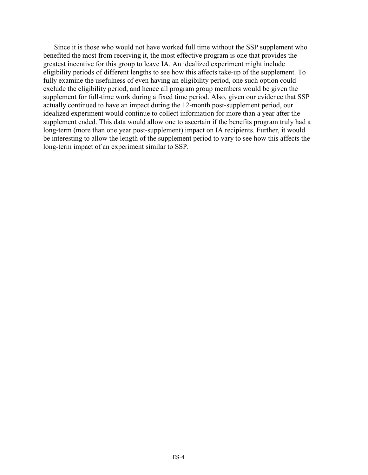Since it is those who would not have worked full time without the SSP supplement who benefited the most from receiving it, the most effective program is one that provides the greatest incentive for this group to leave IA. An idealized experiment might include eligibility periods of different lengths to see how this affects take-up of the supplement. To fully examine the usefulness of even having an eligibility period, one such option could exclude the eligibility period, and hence all program group members would be given the supplement for full-time work during a fixed time period. Also, given our evidence that SSP actually continued to have an impact during the 12-month post-supplement period, our idealized experiment would continue to collect information for more than a year after the supplement ended. This data would allow one to ascertain if the benefits program truly had a long-term (more than one year post-supplement) impact on IA recipients. Further, it would be interesting to allow the length of the supplement period to vary to see how this affects the long-term impact of an experiment similar to SSP.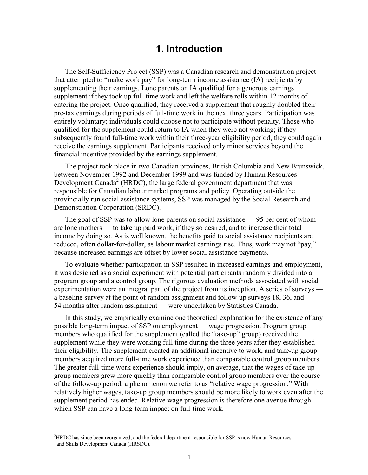### **1. Introduction**

The Self-Sufficiency Project (SSP) was a Canadian research and demonstration project that attempted to "make work pay" for long-term income assistance (IA) recipients by supplementing their earnings. Lone parents on IA qualified for a generous earnings supplement if they took up full-time work and left the welfare rolls within 12 months of entering the project. Once qualified, they received a supplement that roughly doubled their pre-tax earnings during periods of full-time work in the next three years. Participation was entirely voluntary; individuals could choose not to participate without penalty. Those who qualified for the supplement could return to IA when they were not working; if they subsequently found full-time work within their three-year eligibility period, they could again receive the earnings supplement. Participants received only minor services beyond the financial incentive provided by the earnings supplement.

The project took place in two Canadian provinces, British Columbia and New Brunswick, between November 1992 and December 1999 and was funded by Human Resources Development Canada<sup>2</sup> (HRDC), the large federal government department that was responsible for Canadian labour market programs and policy. Operating outside the provincially run social assistance systems, SSP was managed by the Social Research and Demonstration Corporation (SRDC).

The goal of SSP was to allow lone parents on social assistance — 95 per cent of whom are lone mothers — to take up paid work, if they so desired, and to increase their total income by doing so. As is well known, the benefits paid to social assistance recipients are reduced, often dollar-for-dollar, as labour market earnings rise. Thus, work may not "pay," because increased earnings are offset by lower social assistance payments.

To evaluate whether participation in SSP resulted in increased earnings and employment, it was designed as a social experiment with potential participants randomly divided into a program group and a control group. The rigorous evaluation methods associated with social experimentation were an integral part of the project from its inception. A series of surveys a baseline survey at the point of random assignment and follow-up surveys 18, 36, and 54 months after random assignment — were undertaken by Statistics Canada.

In this study, we empirically examine one theoretical explanation for the existence of any possible long-term impact of SSP on employment — wage progression. Program group members who qualified for the supplement (called the "take-up" group) received the supplement while they were working full time during the three years after they established their eligibility. The supplement created an additional incentive to work, and take-up group members acquired more full-time work experience than comparable control group members. The greater full-time work experience should imply, on average, that the wages of take-up group members grew more quickly than comparable control group members over the course of the follow-up period, a phenomenon we refer to as "relative wage progression." With relatively higher wages, take-up group members should be more likely to work even after the supplement period has ended. Relative wage progression is therefore one avenue through which SSP can have a long-term impact on full-time work.

 $\overline{a}$ 

<sup>2</sup> HRDC has since been reorganized, and the federal department responsible for SSP is now Human Resources and Skills Development Canada (HRSDC).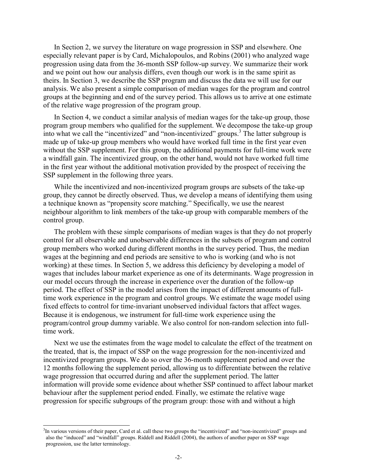In Section 2, we survey the literature on wage progression in SSP and elsewhere. One especially relevant paper is by Card, Michalopoulos, and Robins (2001) who analyzed wage progression using data from the 36-month SSP follow-up survey. We summarize their work and we point out how our analysis differs, even though our work is in the same spirit as theirs. In Section 3, we describe the SSP program and discuss the data we will use for our analysis. We also present a simple comparison of median wages for the program and control groups at the beginning and end of the survey period. This allows us to arrive at one estimate of the relative wage progression of the program group.

In Section 4, we conduct a similar analysis of median wages for the take-up group, those program group members who qualified for the supplement. We decompose the take-up group into what we call the "incentivized" and "non-incentivized" groups.<sup>3</sup> The latter subgroup is made up of take-up group members who would have worked full time in the first year even without the SSP supplement. For this group, the additional payments for full-time work were a windfall gain. The incentivized group, on the other hand, would not have worked full time in the first year without the additional motivation provided by the prospect of receiving the SSP supplement in the following three years.

While the incentivized and non-incentivized program groups are subsets of the take-up group, they cannot be directly observed. Thus, we develop a means of identifying them using a technique known as "propensity score matching." Specifically, we use the nearest neighbour algorithm to link members of the take-up group with comparable members of the control group.

The problem with these simple comparisons of median wages is that they do not properly control for all observable and unobservable differences in the subsets of program and control group members who worked during different months in the survey period. Thus, the median wages at the beginning and end periods are sensitive to who is working (and who is not working) at these times. In Section 5, we address this deficiency by developing a model of wages that includes labour market experience as one of its determinants. Wage progression in our model occurs through the increase in experience over the duration of the follow-up period. The effect of SSP in the model arises from the impact of different amounts of fulltime work experience in the program and control groups. We estimate the wage model using fixed effects to control for time-invariant unobserved individual factors that affect wages. Because it is endogenous, we instrument for full-time work experience using the program/control group dummy variable. We also control for non-random selection into fulltime work.

Next we use the estimates from the wage model to calculate the effect of the treatment on the treated, that is, the impact of SSP on the wage progression for the non-incentivized and incentivized program groups. We do so over the 36-month supplement period and over the 12 months following the supplement period, allowing us to differentiate between the relative wage progression that occurred during and after the supplement period. The latter information will provide some evidence about whether SSP continued to affect labour market behaviour after the supplement period ended. Finally, we estimate the relative wage progression for specific subgroups of the program group: those with and without a high

l

<sup>&</sup>lt;sup>3</sup>In various versions of their paper, Card et al. call these two groups the "incentivized" and "non-incentivized" groups and also the "induced" and "windfall" groups. Riddell and Riddell (2004), the authors of another paper on SSP wage progression, use the latter terminology.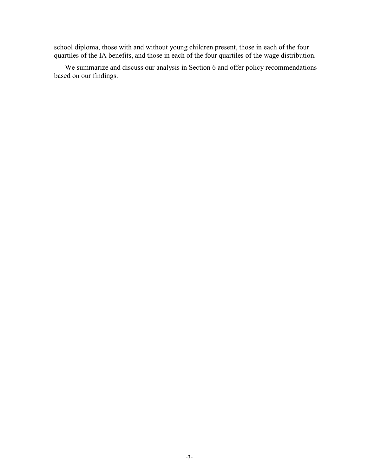school diploma, those with and without young children present, those in each of the four quartiles of the IA benefits, and those in each of the four quartiles of the wage distribution.

We summarize and discuss our analysis in Section 6 and offer policy recommendations based on our findings.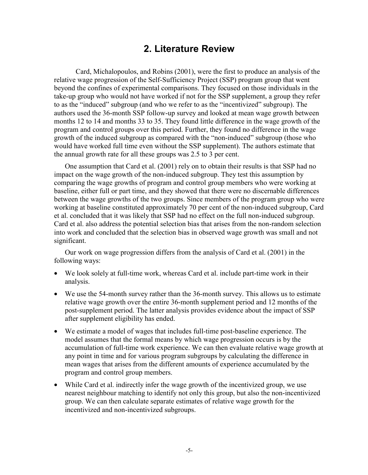## **2. Literature Review**

Card, Michalopoulos, and Robins (2001), were the first to produce an analysis of the relative wage progression of the Self-Sufficiency Project (SSP) program group that went beyond the confines of experimental comparisons. They focused on those individuals in the take-up group who would not have worked if not for the SSP supplement, a group they refer to as the "induced" subgroup (and who we refer to as the "incentivized" subgroup). The authors used the 36-month SSP follow-up survey and looked at mean wage growth between months 12 to 14 and months 33 to 35. They found little difference in the wage growth of the program and control groups over this period. Further, they found no difference in the wage growth of the induced subgroup as compared with the "non-induced" subgroup (those who would have worked full time even without the SSP supplement). The authors estimate that the annual growth rate for all these groups was 2.5 to 3 per cent.

One assumption that Card et al. (2001) rely on to obtain their results is that SSP had no impact on the wage growth of the non-induced subgroup. They test this assumption by comparing the wage growths of program and control group members who were working at baseline, either full or part time, and they showed that there were no discernable differences between the wage growths of the two groups. Since members of the program group who were working at baseline constituted approximately 70 per cent of the non-induced subgroup, Card et al. concluded that it was likely that SSP had no effect on the full non-induced subgroup. Card et al. also address the potential selection bias that arises from the non-random selection into work and concluded that the selection bias in observed wage growth was small and not significant.

Our work on wage progression differs from the analysis of Card et al. (2001) in the following ways:

- We look solely at full-time work, whereas Card et al. include part-time work in their analysis.
- We use the 54-month survey rather than the 36-month survey. This allows us to estimate relative wage growth over the entire 36-month supplement period and 12 months of the post-supplement period. The latter analysis provides evidence about the impact of SSP after supplement eligibility has ended.
- We estimate a model of wages that includes full-time post-baseline experience. The model assumes that the formal means by which wage progression occurs is by the accumulation of full-time work experience. We can then evaluate relative wage growth at any point in time and for various program subgroups by calculating the difference in mean wages that arises from the different amounts of experience accumulated by the program and control group members.
- While Card et al. indirectly infer the wage growth of the incentivized group, we use nearest neighbour matching to identify not only this group, but also the non-incentivized group. We can then calculate separate estimates of relative wage growth for the incentivized and non-incentivized subgroups.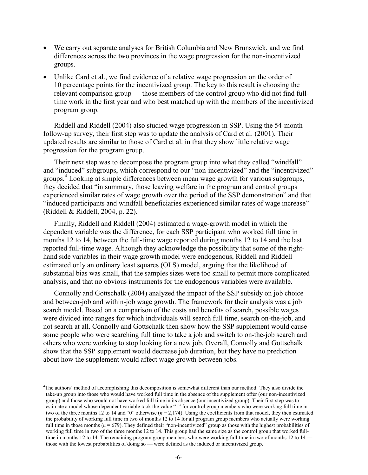- We carry out separate analyses for British Columbia and New Brunswick, and we find differences across the two provinces in the wage progression for the non-incentivized groups.
- Unlike Card et al., we find evidence of a relative wage progression on the order of 10 percentage points for the incentivized group. The key to this result is choosing the relevant comparison group — those members of the control group who did not find fulltime work in the first year and who best matched up with the members of the incentivized program group.

Riddell and Riddell (2004) also studied wage progression in SSP. Using the 54-month follow-up survey, their first step was to update the analysis of Card et al. (2001). Their updated results are similar to those of Card et al. in that they show little relative wage progression for the program group.

Their next step was to decompose the program group into what they called "windfall" and "induced" subgroups, which correspond to our "non-incentivized" and the "incentivized" groups. 4 Looking at simple differences between mean wage growth for various subgroups, they decided that "in summary, those leaving welfare in the program and control groups experienced similar rates of wage growth over the period of the SSP demonstration" and that "induced participants and windfall beneficiaries experienced similar rates of wage increase" (Riddell & Riddell, 2004, p. 22).

Finally, Riddell and Riddell (2004) estimated a wage-growth model in which the dependent variable was the difference, for each SSP participant who worked full time in months 12 to 14, between the full-time wage reported during months 12 to 14 and the last reported full-time wage. Although they acknowledge the possibility that some of the righthand side variables in their wage growth model were endogenous, Riddell and Riddell estimated only an ordinary least squares (OLS) model, arguing that the likelihood of substantial bias was small, that the samples sizes were too small to permit more complicated analysis, and that no obvious instruments for the endogenous variables were available.

Connolly and Gottschalk (2004) analyzed the impact of the SSP subsidy on job choice and between-job and within-job wage growth. The framework for their analysis was a job search model. Based on a comparison of the costs and benefits of search, possible wages were divided into ranges for which individuals will search full time, search on-the-job, and not search at all. Connolly and Gottschalk then show how the SSP supplement would cause some people who were searching full time to take a job and switch to on-the-job search and others who were working to stop looking for a new job. Overall, Connolly and Gottschalk show that the SSP supplement would decrease job duration, but they have no prediction about how the supplement would affect wage growth between jobs.

l

<sup>4</sup> The authors' method of accomplishing this decomposition is somewhat different than our method. They also divide the take-up group into those who would have worked full time in the absence of the supplement offer (our non-incentivized group) and those who would not have worked full time in its absence (our incentivized group). Their first step was to estimate a model whose dependent variable took the value "1" for control group members who were working full time in two of the three months 12 to 14 and "0" otherwise ( $n = 2,174$ ). Using the coefficients from that model, they then estimated the probability of working full time in two of months 12 to 14 for all program group members who actually were working full time in those months  $(n = 679)$ . They defined their "non-incentivized" group as those with the highest probabilities of working full time in two of the three months 12 to 14. This group had the same size as the control group that worked fulltime in months 12 to 14. The remaining program group members who were working full time in two of months 12 to 14 those with the lowest probabilities of doing so — were defined as the induced or incentivized group.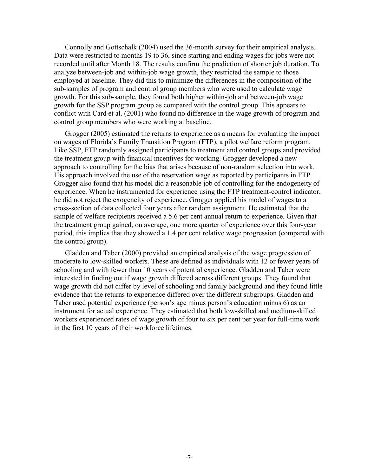Connolly and Gottschalk (2004) used the 36-month survey for their empirical analysis. Data were restricted to months 19 to 36, since starting and ending wages for jobs were not recorded until after Month 18. The results confirm the prediction of shorter job duration. To analyze between-job and within-job wage growth, they restricted the sample to those employed at baseline. They did this to minimize the differences in the composition of the sub-samples of program and control group members who were used to calculate wage growth. For this sub-sample, they found both higher within-job and between-job wage growth for the SSP program group as compared with the control group. This appears to conflict with Card et al. (2001) who found no difference in the wage growth of program and control group members who were working at baseline.

Grogger (2005) estimated the returns to experience as a means for evaluating the impact on wages of Florida's Family Transition Program (FTP), a pilot welfare reform program. Like SSP, FTP randomly assigned participants to treatment and control groups and provided the treatment group with financial incentives for working. Grogger developed a new approach to controlling for the bias that arises because of non-random selection into work. His approach involved the use of the reservation wage as reported by participants in FTP. Grogger also found that his model did a reasonable job of controlling for the endogeneity of experience. When he instrumented for experience using the FTP treatment-control indicator, he did not reject the exogeneity of experience. Grogger applied his model of wages to a cross-section of data collected four years after random assignment. He estimated that the sample of welfare recipients received a 5.6 per cent annual return to experience. Given that the treatment group gained, on average, one more quarter of experience over this four-year period, this implies that they showed a 1.4 per cent relative wage progression (compared with the control group).

Gladden and Taber (2000) provided an empirical analysis of the wage progression of moderate to low-skilled workers. These are defined as individuals with 12 or fewer years of schooling and with fewer than 10 years of potential experience. Gladden and Taber were interested in finding out if wage growth differed across different groups. They found that wage growth did not differ by level of schooling and family background and they found little evidence that the returns to experience differed over the different subgroups. Gladden and Taber used potential experience (person's age minus person's education minus 6) as an instrument for actual experience. They estimated that both low-skilled and medium-skilled workers experienced rates of wage growth of four to six per cent per year for full-time work in the first 10 years of their workforce lifetimes.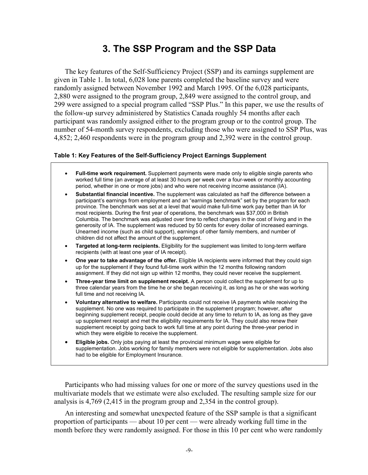# **3. The SSP Program and the SSP Data**

The key features of the Self-Sufficiency Project (SSP) and its earnings supplement are given in Table 1. In total, 6,028 lone parents completed the baseline survey and were randomly assigned between November 1992 and March 1995. Of the 6,028 participants, 2,880 were assigned to the program group, 2,849 were assigned to the control group, and 299 were assigned to a special program called "SSP Plus." In this paper, we use the results of the follow-up survey administered by Statistics Canada roughly 54 months after each participant was randomly assigned either to the program group or to the control group. The number of 54-month survey respondents, excluding those who were assigned to SSP Plus, was 4,852; 2,460 respondents were in the program group and 2,392 were in the control group.

### **Table 1: Key Features of the Self-Sufficiency Project Earnings Supplement**

- **Full-time work requirement.** Supplement payments were made only to eligible single parents who worked full time (an average of at least 30 hours per week over a four-week or monthly accounting period, whether in one or more jobs) and who were not receiving income assistance (IA).
- **Substantial financial incentive.** The supplement was calculated as half the difference between a participant's earnings from employment and an "earnings benchmark" set by the program for each province. The benchmark was set at a level that would make full-time work pay better than IA for most recipients. During the first year of operations, the benchmark was \$37,000 in British Columbia. The benchmark was adjusted over time to reflect changes in the cost of living and in the generosity of IA. The supplement was reduced by 50 cents for every dollar of increased earnings. Unearned income (such as child support), earnings of other family members, and number of children did not affect the amount of the supplement.
- **Targeted at long-term recipients.** Eligibility for the supplement was limited to long-term welfare recipients (with at least one year of IA receipt).
- **One year to take advantage of the offer.** Eligible IA recipients were informed that they could sign up for the supplement if they found full-time work within the 12 months following random assignment. If they did not sign up within 12 months, they could never receive the supplement.
- **Three-year time limit on supplement receipt.** A person could collect the supplement for up to three calendar years from the time he or she began receiving it, as long as he or she was working full time and not receiving IA.
- **Voluntary alternative to welfare.** Participants could not receive IA payments while receiving the supplement. No one was required to participate in the supplement program; however, after beginning supplement receipt, people could decide at any time to return to IA, as long as they gave up supplement receipt and met the eligibility requirements for IA. They could also renew their supplement receipt by going back to work full time at any point during the three-year period in which they were eligible to receive the supplement.
- **Eligible jobs.** Only jobs paying at least the provincial minimum wage were eligible for supplementation. Jobs working for family members were not eligible for supplementation. Jobs also had to be eligible for Employment Insurance.

Participants who had missing values for one or more of the survey questions used in the multivariate models that we estimate were also excluded. The resulting sample size for our analysis is 4,769 (2,415 in the program group and 2,354 in the control group).

An interesting and somewhat unexpected feature of the SSP sample is that a significant proportion of participants — about 10 per cent — were already working full time in the month before they were randomly assigned. For those in this 10 per cent who were randomly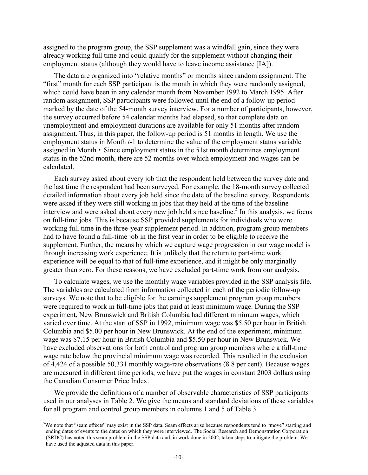assigned to the program group, the SSP supplement was a windfall gain, since they were already working full time and could qualify for the supplement without changing their employment status (although they would have to leave income assistance [IA]).

The data are organized into "relative months" or months since random assignment. The "first" month for each SSP participant is the month in which they were randomly assigned, which could have been in any calendar month from November 1992 to March 1995. After random assignment, SSP participants were followed until the end of a follow-up period marked by the date of the 54-month survey interview. For a number of participants, however, the survey occurred before 54 calendar months had elapsed, so that complete data on unemployment and employment durations are available for only 51 months after random assignment. Thus, in this paper, the follow-up period is 51 months in length. We use the employment status in Month *t*-1 to determine the value of the employment status variable assigned in Month *t*. Since employment status in the 51st month determines employment status in the 52nd month, there are 52 months over which employment and wages can be calculated.

Each survey asked about every job that the respondent held between the survey date and the last time the respondent had been surveyed. For example, the 18-month survey collected detailed information about every job held since the date of the baseline survey. Respondents were asked if they were still working in jobs that they held at the time of the baseline interview and were asked about every new job held since baseline.<sup>5</sup> In this analysis, we focus on full-time jobs. This is because SSP provided supplements for individuals who were working full time in the three-year supplement period. In addition, program group members had to have found a full-time job in the first year in order to be eligible to receive the supplement. Further, the means by which we capture wage progression in our wage model is through increasing work experience. It is unlikely that the return to part-time work experience will be equal to that of full-time experience, and it might be only marginally greater than zero. For these reasons, we have excluded part-time work from our analysis.

To calculate wages, we use the monthly wage variables provided in the SSP analysis file. The variables are calculated from information collected in each of the periodic follow-up surveys. We note that to be eligible for the earnings supplement program group members were required to work in full-time jobs that paid at least minimum wage. During the SSP experiment, New Brunswick and British Columbia had different minimum wages, which varied over time. At the start of SSP in 1992, minimum wage was \$5.50 per hour in British Columbia and \$5.00 per hour in New Brunswick. At the end of the experiment, minimum wage was \$7.15 per hour in British Columbia and \$5.50 per hour in New Brunswick. We have excluded observations for both control and program group members where a full-time wage rate below the provincial minimum wage was recorded. This resulted in the exclusion of 4,424 of a possible 50,331 monthly wage-rate observations (8.8 per cent). Because wages are measured in different time periods, we have put the wages in constant 2003 dollars using the Canadian Consumer Price Index.

We provide the definitions of a number of observable characteristics of SSP participants used in our analyses in Table 2. We give the means and standard deviations of these variables for all program and control group members in columns 1 and 5 of Table 3.

 $\overline{a}$ 

<sup>&</sup>lt;sup>5</sup>We note that "seam effects" may exist in the SSP data. Seam effects arise because respondents tend to "move" starting and ending dates of events to the dates on which they were interviewed. The Social Research and Demonstration Corporation (SRDC) has noted this seam problem in the SSP data and, in work done in 2002, taken steps to mitigate the problem. We have used the adjusted data in this paper.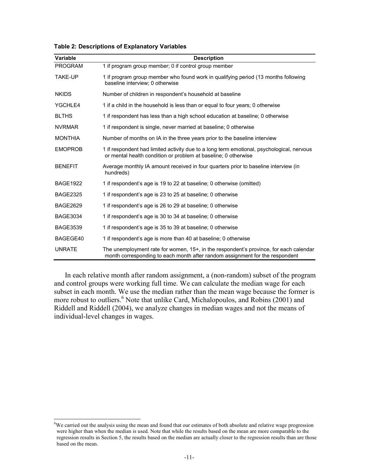| Variable        | <b>Description</b>                                                                                                                                                    |
|-----------------|-----------------------------------------------------------------------------------------------------------------------------------------------------------------------|
| <b>PROGRAM</b>  | 1 if program group member; 0 if control group member                                                                                                                  |
| <b>TAKE-UP</b>  | 1 if program group member who found work in qualifying period (13 months following<br>baseline interview; 0 otherwise                                                 |
| <b>NKIDS</b>    | Number of children in respondent's household at baseline                                                                                                              |
| YGCHLE4         | 1 if a child in the household is less than or equal to four years; 0 otherwise                                                                                        |
| <b>BLTHS</b>    | 1 if respondent has less than a high school education at baseline; 0 otherwise                                                                                        |
| <b>NVRMAR</b>   | 1 if respondent is single, never married at baseline; 0 otherwise                                                                                                     |
| <b>MONTHIA</b>  | Number of months on IA in the three years prior to the baseline interview                                                                                             |
| <b>EMOPROB</b>  | 1 if respondent had limited activity due to a long term emotional, psychological, nervous<br>or mental health condition or problem at baseline; 0 otherwise           |
| <b>BENEFIT</b>  | Average monthly IA amount received in four guarters prior to baseline interview (in<br>hundreds)                                                                      |
| <b>BAGE1922</b> | 1 if respondent's age is 19 to 22 at baseline; 0 otherwise (omitted)                                                                                                  |
| <b>BAGE2325</b> | 1 if respondent's age is 23 to 25 at baseline; 0 otherwise                                                                                                            |
| <b>BAGE2629</b> | 1 if respondent's age is 26 to 29 at baseline; 0 otherwise                                                                                                            |
| <b>BAGE3034</b> | 1 if respondent's age is 30 to 34 at baseline; 0 otherwise                                                                                                            |
| <b>BAGE3539</b> | 1 if respondent's age is 35 to 39 at baseline; 0 otherwise                                                                                                            |
| BAGEGE40        | 1 if respondent's age is more than 40 at baseline; 0 otherwise                                                                                                        |
| <b>UNRATE</b>   | The unemployment rate for women, 15+, in the respondent's province, for each calendar<br>month corresponding to each month after random assignment for the respondent |

#### **Table 2: Descriptions of Explanatory Variables**

In each relative month after random assignment, a (non-random) subset of the program and control groups were working full time. We can calculate the median wage for each subset in each month. We use the median rather than the mean wage because the former is more robust to outliers.<sup>6</sup> Note that unlike Card, Michalopoulos, and Robins (2001) and Riddell and Riddell (2004), we analyze changes in median wages and not the means of individual-level changes in wages.

 $\overline{a}$ 

<sup>&</sup>lt;sup>6</sup>We carried out the analysis using the mean and found that our estimates of both absolute and relative wage progression were higher than when the median is used. Note that while the results based on the mean are more comparable to the regression results in Section 5, the results based on the median are actually closer to the regression results than are those based on the mean.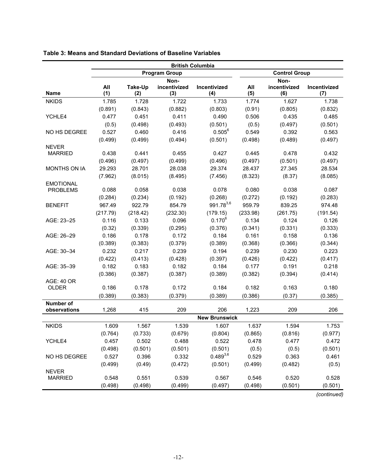| <b>Program Group</b><br><b>Control Group</b><br>Non-<br>Non-<br>incentivized<br>All<br>incentivized<br>All<br>Take-Up<br>Incentivized<br>Incentivized<br>(1)<br><b>Name</b><br>(4)<br>(5)<br>(6)<br>(7)<br>(2)<br>(3) |       |
|-----------------------------------------------------------------------------------------------------------------------------------------------------------------------------------------------------------------------|-------|
|                                                                                                                                                                                                                       |       |
|                                                                                                                                                                                                                       |       |
|                                                                                                                                                                                                                       |       |
| <b>NKIDS</b><br>1.728<br>1.722<br>1.733<br>1.627<br>1.738<br>1.785<br>1.774                                                                                                                                           |       |
| (0.882)<br>(0.803)<br>(0.91)<br>(0.805)<br>(0.891)<br>(0.843)<br>(0.832)                                                                                                                                              |       |
| 0.477<br>0.451<br>0.411<br>0.490<br>0.506<br>0.435<br>0.485<br>YCHLE4                                                                                                                                                 |       |
| (0.5)<br>(0.498)<br>(0.493)<br>(0.501)<br>(0.5)<br>(0.497)<br>(0.501)                                                                                                                                                 |       |
| $0.505^6$<br>0.416<br>0.549<br>NO HS DEGREE<br>0.527<br>0.460<br>0.392<br>0.563                                                                                                                                       |       |
| (0.499)<br>(0.499)<br>(0.494)<br>(0.501)<br>(0.498)<br>(0.489)<br>(0.497)                                                                                                                                             |       |
| <b>NEVER</b>                                                                                                                                                                                                          |       |
| 0.438<br>0.441<br>0.455<br>0.427<br>0.445<br>0.478<br>0.432<br><b>MARRIED</b>                                                                                                                                         |       |
| (0.496)<br>(0.497)<br>(0.496)<br>(0.497)<br>(0.499)<br>(0.501)<br>(0.497)                                                                                                                                             |       |
| <b>MONTHS ON IA</b><br>29.293<br>28.701<br>28.038<br>29.374<br>28.437<br>27.345<br>28.534                                                                                                                             |       |
| (8.015)<br>(8.323)<br>(7.962)<br>(8.495)<br>(7.456)<br>(8.37)<br>(8.085)                                                                                                                                              |       |
| <b>EMOTIONAL</b>                                                                                                                                                                                                      |       |
| 0.088<br>0.058<br><b>PROBLEMS</b><br>0.038<br>0.078<br>0.080<br>0.038<br>0.087                                                                                                                                        |       |
| (0.284)<br>(0.234)<br>(0.192)<br>(0.268)<br>(0.192)<br>(0.283)<br>(0.272)                                                                                                                                             |       |
| 991.783,6<br>967.49<br>922.79<br>854.79<br>959.79<br><b>BENEFIT</b><br>839.25<br>974.48                                                                                                                               |       |
| (217.79)<br>(218.42)<br>(232.30)<br>(179.15)<br>(233.98)<br>(261.75)<br>(191.54)                                                                                                                                      |       |
| $0.170^{6}$<br>0.116<br>0.133<br>0.096<br>0.134<br>0.124<br>0.126<br>AGE: 23-25                                                                                                                                       |       |
| (0.32)<br>(0.339)<br>(0.295)<br>(0.376)<br>(0.341)<br>(0.331)<br>(0.333)                                                                                                                                              |       |
| 0.186<br>0.178<br>0.172<br>0.184<br>0.161<br>0.158<br>0.136<br>AGE: 26-29                                                                                                                                             |       |
| (0.389)<br>(0.383)<br>(0.379)<br>(0.389)<br>(0.368)<br>(0.366)<br>(0.344)                                                                                                                                             |       |
| 0.194<br>AGE: 30-34<br>0.232<br>0.217<br>0.239<br>0.239<br>0.230<br>0.223                                                                                                                                             |       |
| (0.422)<br>(0.413)<br>(0.428)<br>(0.397)<br>(0.426)<br>(0.422)<br>(0.417)                                                                                                                                             |       |
| 0.182<br>0.177<br>0.191<br>AGE: 35-39<br>0.182<br>0.183<br>0.184<br>0.218                                                                                                                                             |       |
| (0.386)<br>(0.387)<br>(0.387)<br>(0.389)<br>(0.382)<br>(0.394)<br>(0.414)                                                                                                                                             |       |
| <b>AGE: 40 OR</b>                                                                                                                                                                                                     |       |
| 0.178<br>OLDER<br>0.186<br>0.172<br>0.184<br>0.182<br>0.163<br>0.180                                                                                                                                                  |       |
| (0.383)<br>(0.386)<br>(0.389)<br>(0.379)<br>(0.389)<br>(0.37)<br>(0.385)                                                                                                                                              |       |
| <b>Number of</b><br>209<br>206<br>209<br>observations<br>1,268<br>415<br>1,223<br>206                                                                                                                                 |       |
| <b>New Brunswick</b>                                                                                                                                                                                                  |       |
| <b>NKIDS</b><br>1.609<br>1.567<br>1.539<br>1.637<br>1.594<br>1.753<br>1.607                                                                                                                                           |       |
| (0.816)<br>(0.764)<br>(0.733)<br>(0.679)<br>(0.804)<br>(0.865)<br>(0.977)                                                                                                                                             |       |
| 0.457<br>0.502<br>0.478<br>0.477<br>YCHLE4<br>0.488<br>0.522<br>0.472                                                                                                                                                 |       |
| (0.5)<br>(0.498)<br>(0.501)<br>(0.501)<br>(0.501)<br>(0.5)<br>(0.501)                                                                                                                                                 |       |
| $0.489^{3,6}$<br>0.527<br>0.332<br>0.529<br>0.363<br>0.461<br>NO HS DEGREE<br>0.396                                                                                                                                   |       |
| (0.499)<br>(0.49)<br>(0.472)<br>(0.499)<br>(0.482)<br>(0.501)                                                                                                                                                         | (0.5) |
| <b>NEVER</b>                                                                                                                                                                                                          |       |
| 0.551<br>0.539<br>0.520<br>0.528<br><b>MARRIED</b><br>0.548<br>0.567<br>0.546                                                                                                                                         |       |
| (0.498)<br>(0.498)<br>(0.499)<br>(0.497)<br>(0.498)<br>(0.501)<br>(0.501)                                                                                                                                             |       |

### **Table 3: Means and Standard Deviations of Baseline Variables**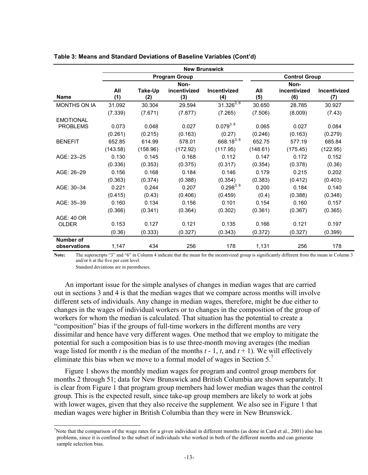|                           | <b>New Brunswick</b>                         |                |                     |                            |            |                     |                            |  |
|---------------------------|----------------------------------------------|----------------|---------------------|----------------------------|------------|---------------------|----------------------------|--|
|                           | <b>Control Group</b><br><b>Program Group</b> |                |                     |                            |            |                     |                            |  |
|                           | Non-<br>Non-                                 |                |                     |                            |            |                     |                            |  |
| <b>Name</b>               | All<br>(1)                                   | Take-Up<br>(2) | incentivized<br>(3) | <b>Incentivized</b><br>(4) | All<br>(5) | incentivized<br>(6) | <b>Incentivized</b><br>(7) |  |
| <b>MONTHS ON IA</b>       | 31.092                                       | 30.304         | 29.594              | $31.326^{3,6}$             | 30.650     | 28.785              | 30.927                     |  |
|                           | (7.339)                                      | (7.671)        | (7.877)             | (7.265)                    | (7.506)    | (8.009)             | (7.43)                     |  |
| <b>EMOTIONAL</b>          |                                              |                |                     |                            |            |                     |                            |  |
| <b>PROBLEMS</b>           | 0.073                                        | 0.048          | 0.027               | $0.079^{3,6}$              | 0.065      | 0.027               | 0.084                      |  |
|                           | (0.261)                                      | (0.215)        | (0.163)             | (0.27)                     | (0.246)    | (0.163)             | (0.279)                    |  |
| <b>BENEFIT</b>            | 652.85                                       | 614.99         | 578.01              | 668.183,6                  | 652.75     | 577.19              | 685.84                     |  |
|                           | (143.58)                                     | (158.96)       | (172.92)            | (117.95)                   | (148.61)   | (175.45)            | (122.95)                   |  |
| AGE: 23-25                | 0.130                                        | 0.145          | 0.168               | 0.112                      | 0.147      | 0.172               | 0.152                      |  |
|                           | (0.336)                                      | (0.353)        | (0.375)             | (0.317)                    | (0.354)    | (0.378)             | (0.36)                     |  |
| AGE: 26-29                | 0.156                                        | 0.168          | 0.184               | 0.146                      | 0.179      | 0.215               | 0.202                      |  |
|                           | (0.363)                                      | (0.374)        | (0.388)             | (0.354)                    | (0.383)    | (0.412)             | (0.403)                    |  |
| AGE: 30-34                | 0.221                                        | 0.244          | 0.207               | $0.298^{3,6}$              | 0.200      | 0.184               | 0.140                      |  |
|                           | (0.415)                                      | (0.43)         | (0.406)             | (0.459)                    | (0.4)      | (0.388)             | (0.348)                    |  |
| AGE: 35-39                | 0.160                                        | 0.134          | 0.156               | 0.101                      | 0.154      | 0.160               | 0.157                      |  |
|                           | (0.366)                                      | (0.341)        | (0.364)             | (0.302)                    | (0.361)    | (0.367)             | (0.365)                    |  |
| AGE: 40 OR                |                                              |                |                     |                            |            |                     |                            |  |
| <b>OLDER</b>              | 0.153                                        | 0.127          | 0.121               | 0.135                      | 0.166      | 0.121               | 0.197                      |  |
|                           | (0.36)                                       | (0.333)        | (0.327)             | (0.343)                    | (0.372)    | (0.327)             | (0.399)                    |  |
| Number of<br>observations | 1,147                                        | 434            | 256                 | 178                        | 1,131      | 256                 | 178                        |  |

#### **Table 3: Means and Standard Deviations of Baseline Variables (Cont'd)**

**Note:** The superscripts "3" and "6" in Column 4 indicate that the mean for the incentivized group is significantly different from the mean in Column 3 and/or 6 at the five per cent level.

Standard deviations are in parentheses.

l

An important issue for the simple analyses of changes in median wages that are carried out in sections 3 and 4 is that the median wages that we compare across months will involve different sets of individuals. Any change in median wages, therefore, might be due either to changes in the wages of individual workers or to changes in the composition of the group of workers for whom the median is calculated. That situation has the potential to create a "composition" bias if the groups of full-time workers in the different months are very dissimilar and hence have very different wages. One method that we employ to mitigate the potential for such a composition bias is to use three-month moving averages (the median wage listed for month *t* is the median of the months  $t - 1$ ,  $t$ , and  $t + 1$ ). We will effectively eliminate this bias when we move to a formal model of wages in Section 5.<sup>7</sup>

Figure 1 shows the monthly median wages for program and control group members for months 2 through 51; data for New Brunswick and British Columbia are shown separately. It is clear from Figure 1 that program group members had lower median wages than the control group. This is the expected result, since take-up group members are likely to work at jobs with lower wages, given that they also receive the supplement. We also see in Figure 1 that median wages were higher in British Columbia than they were in New Brunswick.

<sup>7</sup> Note that the comparison of the wage rates for a given individual in different months (as done in Card et al., 2001) also has problems, since it is confined to the subset of individuals who worked in both of the different months and can generate sample selection bias.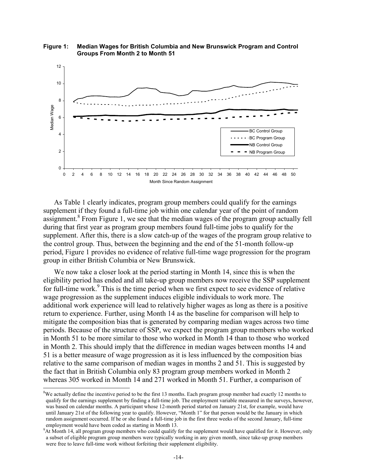

**Figure 1: Median Wages for British Columbia and New Brunswick Program and Control Groups From Month 2 to Month 51** 

As Table 1 clearly indicates, program group members could qualify for the earnings supplement if they found a full-time job within one calendar year of the point of random assignment.<sup>8</sup> From Figure 1, we see that the median wages of the program group actually fell during that first year as program group members found full-time jobs to qualify for the supplement. After this, there is a slow catch-up of the wages of the program group relative to the control group. Thus, between the beginning and the end of the 51-month follow-up period, Figure 1 provides no evidence of relative full-time wage progression for the program group in either British Columbia or New Brunswick.

We now take a closer look at the period starting in Month 14, since this is when the eligibility period has ended and all take-up group members now receive the SSP supplement for full-time work.<sup>9</sup> This is the time period when we first expect to see evidence of relative wage progression as the supplement induces eligible individuals to work more. The additional work experience will lead to relatively higher wages as long as there is a positive return to experience. Further, using Month 14 as the baseline for comparison will help to mitigate the composition bias that is generated by comparing median wages across two time periods. Because of the structure of SSP, we expect the program group members who worked in Month 51 to be more similar to those who worked in Month 14 than to those who worked in Month 2. This should imply that the difference in median wages between months 14 and 51 is a better measure of wage progression as it is less influenced by the composition bias relative to the same comparison of median wages in months 2 and 51. This is suggested by the fact that in British Columbia only 83 program group members worked in Month 2 whereas 305 worked in Month 14 and 271 worked in Month 51. Further, a comparison of

 $\overline{a}$ 

 $8$ We actually define the incentive period to be the first 13 months. Each program group member had exactly 12 months to qualify for the earnings supplement by finding a full-time job. The employment variable measured in the surveys, however, was based on calendar months. A participant whose 12-month period started on January 21st, for example, would have until January 21st of the following year to qualify. However, "Month 1" for that person would be the January in which random assignment occurred. If he or she found a full-time job in the first three weeks of the second January, full-time employment would have been coded as starting in Month 13.

<sup>9</sup> At Month 14, all program group members who could qualify for the supplement would have qualified for it. However, only a subset of eligible program group members were typically working in any given month, since take-up group members were free to leave full-time work without forfeiting their supplement eligibility.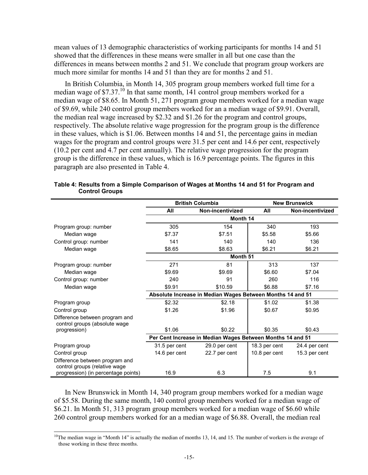mean values of 13 demographic characteristics of working participants for months 14 and 51 showed that the differences in these means were smaller in all but one case than the differences in means between months 2 and 51. We conclude that program group workers are much more similar for months 14 and 51 than they are for months 2 and 51.

In British Columbia, in Month 14, 305 program group members worked full time for a median wage of  $$7.37$ .<sup>10</sup> In that same month, 141 control group members worked for a median wage of \$8.65. In Month 51, 271 program group members worked for a median wage of \$9.69, while 240 control group members worked for an a median wage of \$9.91. Overall, the median real wage increased by \$2.32 and \$1.26 for the program and control groups, respectively. The absolute relative wage progression for the program group is the difference in these values, which is \$1.06. Between months 14 and 51, the percentage gains in median wages for the program and control groups were 31.5 per cent and 14.6 per cent, respectively (10.2 per cent and 4.7 per cent annually). The relative wage progression for the program group is the difference in these values, which is 16.9 percentage points. The figures in this paragraph are also presented in Table 4.

|                                                                 |               | <b>British Columbia</b>                                    |               | <b>New Brunswick</b> |  |  |
|-----------------------------------------------------------------|---------------|------------------------------------------------------------|---------------|----------------------|--|--|
|                                                                 | All           | Non-incentivized                                           | All           | Non-incentivized     |  |  |
|                                                                 |               | Month 14                                                   |               |                      |  |  |
| Program group: number                                           | 305           | 154                                                        | 340           | 193                  |  |  |
| Median wage                                                     | \$7.37        | \$7.51                                                     | \$5.58        | \$5.66               |  |  |
| Control group: number                                           | 141           | 140                                                        | 140           | 136                  |  |  |
| Median wage                                                     | \$8.65        | \$8.63                                                     | \$6.21        | \$6.21               |  |  |
|                                                                 |               | Month 51                                                   |               |                      |  |  |
| Program group: number                                           | 271           | 81                                                         | 313           | 137                  |  |  |
| Median wage                                                     | \$9.69        | \$9.69                                                     | \$6.60        | \$7.04               |  |  |
| Control group: number                                           | 240           | 91                                                         | 260           | 116                  |  |  |
| Median wage                                                     | \$9.91        | \$10.59                                                    | \$6.88        | \$7.16               |  |  |
|                                                                 |               | Absolute Increase in Median Wages Between Months 14 and 51 |               |                      |  |  |
| Program group                                                   | \$2.32        | \$2.18                                                     | \$1.02        | \$1.38               |  |  |
| Control group                                                   | \$1.26        | \$1.96                                                     | \$0.67        | \$0.95               |  |  |
| Difference between program and<br>control groups (absolute wage |               |                                                            |               |                      |  |  |
| progression)                                                    | \$1.06        | \$0.22                                                     | \$0.35        | \$0.43               |  |  |
|                                                                 |               | Per Cent Increase in Median Wages Between Months 14 and 51 |               |                      |  |  |
| Program group                                                   | 31.5 per cent | 29.0 per cent                                              | 18.3 per cent | 24.4 per cent        |  |  |
| Control group                                                   | 14.6 per cent | 22.7 per cent                                              | 10.8 per cent | 15.3 per cent        |  |  |
| Difference between program and<br>control groups (relative wage |               |                                                            |               |                      |  |  |
| progression) (in percentage points)                             | 16.9          | 6.3                                                        | 7.5           | 9.1                  |  |  |

|                       | Table 4: Results from a Simple Comparison of Wages at Months 14 and 51 for Program and |  |
|-----------------------|----------------------------------------------------------------------------------------|--|
| <b>Control Groups</b> |                                                                                        |  |

In New Brunswick in Month 14, 340 program group members worked for a median wage of \$5.58. During the same month, 140 control group members worked for a median wage of \$6.21. In Month 51, 313 program group members worked for a median wage of \$6.60 while 260 control group members worked for an a median wage of \$6.88. Overall, the median real

 $\overline{a}$ 

<sup>&</sup>lt;sup>10</sup>The median wage in "Month 14" is actually the median of months 13, 14, and 15. The number of workers is the average of those working in these three months.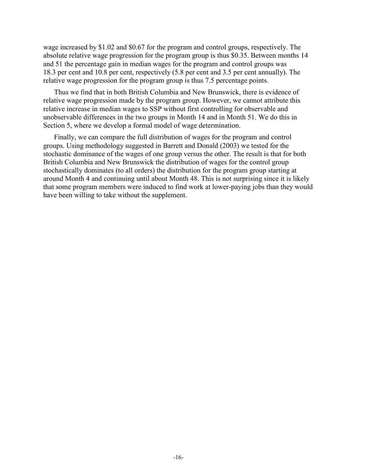wage increased by \$1.02 and \$0.67 for the program and control groups, respectively. The absolute relative wage progression for the program group is thus \$0.35. Between months 14 and 51 the percentage gain in median wages for the program and control groups was 18.3 per cent and 10.8 per cent, respectively (5.8 per cent and 3.5 per cent annually). The relative wage progression for the program group is thus 7.5 percentage points.

Thus we find that in both British Columbia and New Brunswick, there is evidence of relative wage progression made by the program group. However, we cannot attribute this relative increase in median wages to SSP without first controlling for observable and unobservable differences in the two groups in Month 14 and in Month 51. We do this in Section 5, where we develop a formal model of wage determination.

Finally, we can compare the full distribution of wages for the program and control groups. Using methodology suggested in Barrett and Donald (2003) we tested for the stochastic dominance of the wages of one group versus the other. The result is that for both British Columbia and New Brunswick the distribution of wages for the control group stochastically dominates (to all orders) the distribution for the program group starting at around Month 4 and continuing until about Month 48. This is not surprising since it is likely that some program members were induced to find work at lower-paying jobs than they would have been willing to take without the supplement.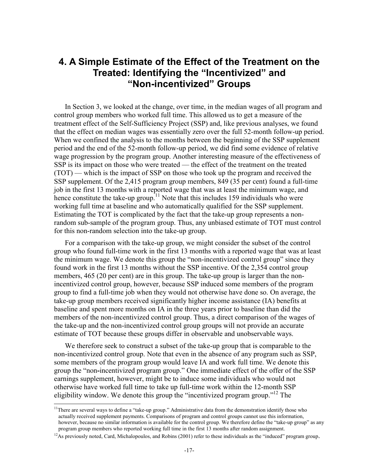## **4. A Simple Estimate of the Effect of the Treatment on the Treated: Identifying the "Incentivized" and "Non-incentivized" Groups**

In Section 3, we looked at the change, over time, in the median wages of all program and control group members who worked full time. This allowed us to get a measure of the treatment effect of the Self-Sufficiency Project (SSP) and, like previous analyses, we found that the effect on median wages was essentially zero over the full 52-month follow-up period. When we confined the analysis to the months between the beginning of the SSP supplement period and the end of the 52-month follow-up period, we did find some evidence of relative wage progression by the program group. Another interesting measure of the effectiveness of SSP is its impact on those who were treated — the effect of the treatment on the treated (TOT) — which is the impact of SSP on those who took up the program and received the SSP supplement. Of the 2,415 program group members, 849 (35 per cent) found a full-time job in the first 13 months with a reported wage that was at least the minimum wage, and hence constitute the take-up group.<sup>11</sup> Note that this includes 159 individuals who were working full time at baseline and who automatically qualified for the SSP supplement. Estimating the TOT is complicated by the fact that the take-up group represents a nonrandom sub-sample of the program group. Thus, any unbiased estimate of TOT must control for this non-random selection into the take-up group.

For a comparison with the take-up group, we might consider the subset of the control group who found full-time work in the first 13 months with a reported wage that was at least the minimum wage. We denote this group the "non-incentivized control group" since they found work in the first 13 months without the SSP incentive. Of the 2,354 control group members, 465 (20 per cent) are in this group. The take-up group is larger than the nonincentivized control group, however, because SSP induced some members of the program group to find a full-time job when they would not otherwise have done so. On average, the take-up group members received significantly higher income assistance (IA) benefits at baseline and spent more months on IA in the three years prior to baseline than did the members of the non-incentivized control group. Thus, a direct comparison of the wages of the take-up and the non-incentivized control group groups will not provide an accurate estimate of TOT because these groups differ in observable and unobservable ways.

We therefore seek to construct a subset of the take-up group that is comparable to the non-incentivized control group. Note that even in the absence of any program such as SSP, some members of the program group would leave IA and work full time. We denote this group the "non**-**incentivized program group." One immediate effect of the offer of the SSP earnings supplement, however, might be to induce some individuals who would not otherwise have worked full time to take up full-time work within the 12-month SSP eligibility window. We denote this group the "incentivized program group."<sup>12</sup> The

 $\overline{a}$ 

<sup>&</sup>lt;sup>11</sup>There are several ways to define a "take-up group." Administrative data from the demonstration identify those who actually received supplement payments. Comparisons of program and control groups cannot use this information, however, because no similar information is available for the control group. We therefore define the "take-up group" as any program group members who reported working full time in the first 13 months after random assignment.

<sup>&</sup>lt;sup>12</sup>As previously noted, Card, Michalopoulos, and Robins (2001) refer to these individuals as the "induced" program group.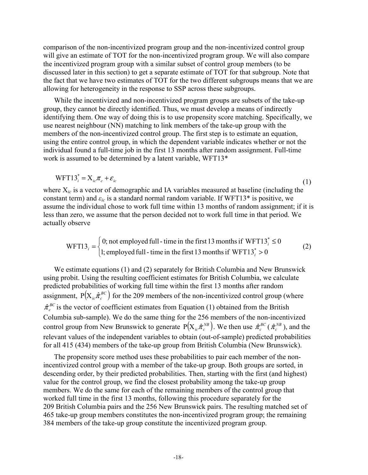comparison of the non-incentivized program group and the non-incentivized control group will give an estimate of TOT for the non-incentivized program group. We will also compare the incentivized program group with a similar subset of control group members (to be discussed later in this section) to get a separate estimate of TOT for that subgroup. Note that the fact that we have two estimates of TOT for the two different subgroups means that we are allowing for heterogeneity in the response to SSP across these subgroups.

While the incentivized and non-incentivized program groups are subsets of the take-up group, they cannot be directly identified. Thus, we must develop a means of indirectly identifying them. One way of doing this is to use propensity score matching. Specifically, we use nearest neighbour (NN) matching to link members of the take-up group with the members of the non-incentivized control group. The first step is to estimate an equation, using the entire control group, in which the dependent variable indicates whether or not the individual found a full-time job in the first 13 months after random assignment. Full-time work is assumed to be determined by a latent variable, WFT13\*

$$
WFT13_i^* = X_{ic}\pi_c + \varepsilon_{ic}
$$
 (1)

where X*ic* is a vector of demographic and IA variables measured at baseline (including the constant term) and  $\varepsilon_{ic}$  is a standard normal random variable. If WFT13<sup>\*</sup> is positive, we assume the individual chose to work full time within 13 months of random assignment; if it is less than zero, we assume that the person decided not to work full time in that period. We actually observe

WFT13<sub>i</sub> = 
$$
\begin{cases} 0; \text{ not employed full - time in the first 13 months if WFT13i* ≤ 0 \\ 1; \text{ employed full - time in the first 13 months if WFT13i* > 0 \end{cases}
$$
 (2)

We estimate equations (1) and (2) separately for British Columbia and New Brunswick using probit. Using the resulting coefficient estimates for British Columbia, we calculate predicted probabilities of working full time within the first 13 months after random assignment,  $P(X_{i,c} \hat{\pi}_c^{BC})$  for the 209 members of the non-incentivized control group (where  $\hat{\pi}_{c}^{BC}$  is the vector of coefficient estimates from Equation (1) obtained from the British Columbia sub-sample). We do the same thing for the 256 members of the non-incentivized control group from New Brunswick to generate  $P(X_{ic} \hat{\pi}_c^{NB})$ . We then use  $\hat{\pi}_c^{BC}(\hat{\pi}_c^{NB})$ , and the relevant values of the independent variables to obtain (out-of-sample) predicted probabilities for all 415 (434) members of the take-up group from British Columbia (New Brunswick).

The propensity score method uses these probabilities to pair each member of the nonincentivized control group with a member of the take-up group. Both groups are sorted, in descending order, by their predicted probabilities. Then, starting with the first (and highest) value for the control group, we find the closest probability among the take-up group members. We do the same for each of the remaining members of the control group that worked full time in the first 13 months, following this procedure separately for the 209 British Columbia pairs and the 256 New Brunswick pairs. The resulting matched set of 465 take-up group members constitutes the non-incentivized program group; the remaining 384 members of the take-up group constitute the incentivized program group.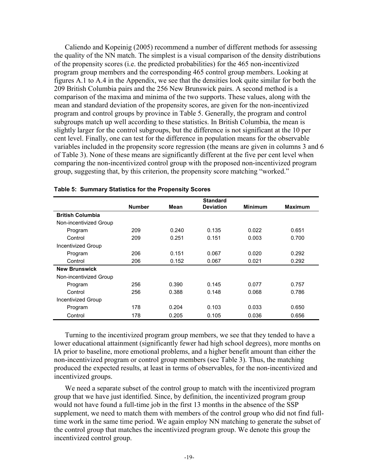Caliendo and Kopeinig (2005) recommend a number of different methods for assessing the quality of the NN match. The simplest is a visual comparison of the density distributions of the propensity scores (i.e. the predicted probabilities) for the 465 non-incentivized program group members and the corresponding 465 control group members. Looking at figures A.1 to A.4 in the Appendix, we see that the densities look quite similar for both the 209 British Columbia pairs and the 256 New Brunswick pairs. A second method is a comparison of the maxima and minima of the two supports. These values, along with the mean and standard deviation of the propensity scores, are given for the non-incentivized program and control groups by province in Table 5. Generally, the program and control subgroups match up well according to these statistics. In British Columbia, the mean is slightly larger for the control subgroups, but the difference is not significant at the 10 per cent level. Finally, one can test for the difference in population means for the observable variables included in the propensity score regression (the means are given in columns 3 and 6 of Table 3). None of these means are significantly different at the five per cent level when comparing the non-incentivized control group with the proposed non-incentivized program group, suggesting that, by this criterion, the propensity score matching "worked."

|                           |               |       | <b>Standard</b>  |                |                |
|---------------------------|---------------|-------|------------------|----------------|----------------|
|                           | <b>Number</b> | Mean  | <b>Deviation</b> | <b>Minimum</b> | <b>Maximum</b> |
| <b>British Columbia</b>   |               |       |                  |                |                |
| Non-incentivized Group    |               |       |                  |                |                |
| Program                   | 209           | 0.240 | 0.135            | 0.022          | 0.651          |
| Control                   | 209           | 0.251 | 0.151            | 0.003          | 0.700          |
| <b>Incentivized Group</b> |               |       |                  |                |                |
| Program                   | 206           | 0.151 | 0.067            | 0.020          | 0.292          |
| Control                   | 206           | 0.152 | 0.067            | 0.021          | 0.292          |
| <b>New Brunswick</b>      |               |       |                  |                |                |
| Non-incentivized Group    |               |       |                  |                |                |
| Program                   | 256           | 0.390 | 0.145            | 0.077          | 0.757          |
| Control                   | 256           | 0.388 | 0.148            | 0.068          | 0.786          |
| <b>Incentivized Group</b> |               |       |                  |                |                |
| Program                   | 178           | 0.204 | 0.103            | 0.033          | 0.650          |
| Control                   | 178           | 0.205 | 0.105            | 0.036          | 0.656          |

### **Table 5: Summary Statistics for the Propensity Scores**

Turning to the incentivized program group members, we see that they tended to have a lower educational attainment (significantly fewer had high school degrees), more months on IA prior to baseline, more emotional problems, and a higher benefit amount than either the non-incentivized program or control group members (see Table 3). Thus, the matching produced the expected results, at least in terms of observables, for the non-incentivized and incentivized groups.

We need a separate subset of the control group to match with the incentivized program group that we have just identified. Since, by definition, the incentivized program group would not have found a full-time job in the first 13 months in the absence of the SSP supplement, we need to match them with members of the control group who did not find fulltime work in the same time period. We again employ NN matching to generate the subset of the control group that matches the incentivized program group. We denote this group the incentivized control group.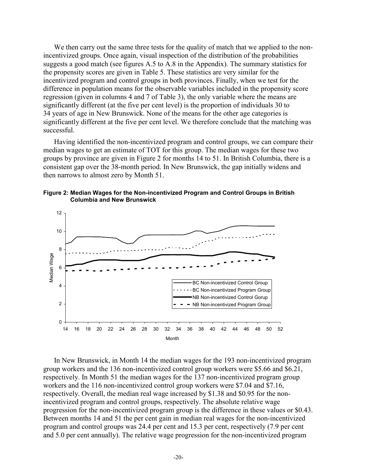We then carry out the same three tests for the quality of match that we applied to the nonincentivized groups. Once again, visual inspection of the distribution of the probabilities suggests a good match (see figures A.5 to A.8 in the Appendix). The summary statistics for the propensity scores are given in Table 5. These statistics are very similar for the incentivized program and control groups in both provinces. Finally, when we test for the difference in population means for the observable variables included in the propensity score regression (given in columns 4 and 7 of Table 3), the only variable where the means are significantly different (at the five per cent level) is the proportion of individuals 30 to 34 years of age in New Brunswick. None of the means for the other age categories is significantly different at the five per cent level. We therefore conclude that the matching was successful.

Having identified the non-incentivized program and control groups, we can compare their median wages to get an estimate of TOT for this group. The median wages for these two groups by province are given in Figure 2 for months 14 to 51. In British Columbia, there is a consistent gap over the 38-month period. In New Brunswick, the gap initially widens and then narrows to almost zero by Month 51.





In New Brunswick, in Month 14 the median wages for the 193 non-incentivized program group workers and the 136 non-incentivized control group workers were \$5.66 and \$6.21, respectively. In Month 51 the median wages for the 137 non-incentivized program group workers and the 116 non-incentivized control group workers were \$7.04 and \$7.16, respectively. Overall, the median real wage increased by \$1.38 and \$0.95 for the nonincentivized program and control groups, respectively. The absolute relative wage progression for the non-incentivized program group is the difference in these values or \$0.43. Between months 14 and 51 the per cent gain in median real wages for the non-incentivized program and control groups was 24.4 per cent and 15.3 per cent, respectively (7.9 per cent and 5.0 per cent annually). The relative wage progression for the non-incentivized program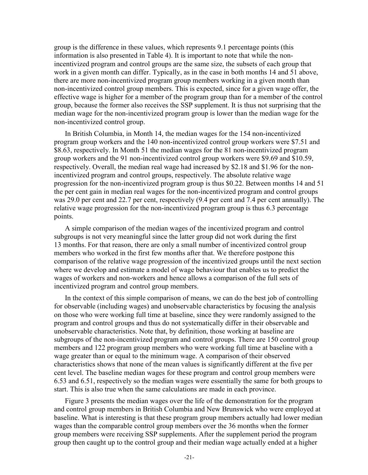group is the difference in these values, which represents 9.1 percentage points (this information is also presented in Table 4). It is important to note that while the nonincentivized program and control groups are the same size, the subsets of each group that work in a given month can differ. Typically, as in the case in both months 14 and 51 above, there are more non-incentivized program group members working in a given month than non-incentivized control group members. This is expected, since for a given wage offer, the effective wage is higher for a member of the program group than for a member of the control group, because the former also receives the SSP supplement. It is thus not surprising that the median wage for the non-incentivized program group is lower than the median wage for the non-incentivized control group.

In British Columbia, in Month 14, the median wages for the 154 non-incentivized program group workers and the 140 non-incentivized control group workers were \$7.51 and \$8.63, respectively. In Month 51 the median wages for the 81 non-incentivized program group workers and the 91 non-incentivized control group workers were \$9.69 and \$10.59, respectively. Overall, the median real wage had increased by \$2.18 and \$1.96 for the nonincentivized program and control groups, respectively. The absolute relative wage progression for the non-incentivized program group is thus \$0.22. Between months 14 and 51 the per cent gain in median real wages for the non-incentivized program and control groups was 29.0 per cent and 22.7 per cent, respectively (9.4 per cent and 7.4 per cent annually). The relative wage progression for the non-incentivized program group is thus 6.3 percentage points.

A simple comparison of the median wages of the incentivized program and control subgroups is not very meaningful since the latter group did not work during the first 13 months. For that reason, there are only a small number of incentivized control group members who worked in the first few months after that. We therefore postpone this comparison of the relative wage progression of the incentivized groups until the next section where we develop and estimate a model of wage behaviour that enables us to predict the wages of workers and non-workers and hence allows a comparison of the full sets of incentivized program and control group members.

In the context of this simple comparison of means, we can do the best job of controlling for observable (including wages) and unobservable characteristics by focusing the analysis on those who were working full time at baseline, since they were randomly assigned to the program and control groups and thus do not systematically differ in their observable and unobservable characteristics. Note that, by definition, those working at baseline are subgroups of the non-incentivized program and control groups. There are 150 control group members and 122 program group members who were working full time at baseline with a wage greater than or equal to the minimum wage. A comparison of their observed characteristics shows that none of the mean values is significantly different at the five per cent level. The baseline median wages for these program and control group members were 6.53 and 6.51, respectively so the median wages were essentially the same for both groups to start. This is also true when the same calculations are made in each province.

Figure 3 presents the median wages over the life of the demonstration for the program and control group members in British Columbia and New Brunswick who were employed at baseline. What is interesting is that these program group members actually had lower median wages than the comparable control group members over the 36 months when the former group members were receiving SSP supplements. After the supplement period the program group then caught up to the control group and their median wage actually ended at a higher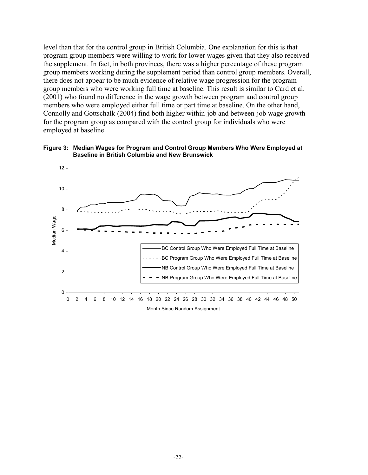level than that for the control group in British Columbia. One explanation for this is that program group members were willing to work for lower wages given that they also received the supplement. In fact, in both provinces, there was a higher percentage of these program group members working during the supplement period than control group members. Overall, there does not appear to be much evidence of relative wage progression for the program group members who were working full time at baseline. This result is similar to Card et al. (2001) who found no difference in the wage growth between program and control group members who were employed either full time or part time at baseline. On the other hand, Connolly and Gottschalk (2004) find both higher within-job and between-job wage growth for the program group as compared with the control group for individuals who were employed at baseline.



**Figure 3: Median Wages for Program and Control Group Members Who Were Employed at Baseline in British Columbia and New Brunswick**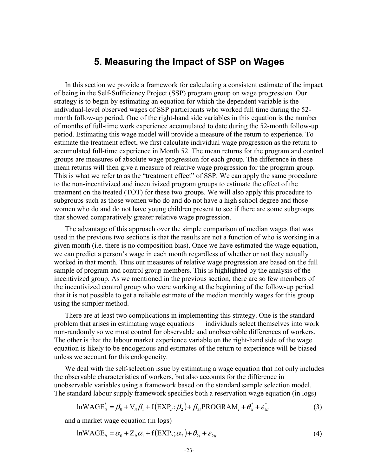### **5. Measuring the Impact of SSP on Wages**

In this section we provide a framework for calculating a consistent estimate of the impact of being in the Self-Sufficiency Project (SSP) program group on wage progression. Our strategy is to begin by estimating an equation for which the dependent variable is the individual-level observed wages of SSP participants who worked full time during the 52 month follow-up period. One of the right-hand side variables in this equation is the number of months of full-time work experience accumulated to date during the 52-month follow-up period. Estimating this wage model will provide a measure of the return to experience. To estimate the treatment effect, we first calculate individual wage progression as the return to accumulated full-time experience in Month 52. The mean returns for the program and control groups are measures of absolute wage progression for each group. The difference in these mean returns will then give a measure of relative wage progression for the program group. This is what we refer to as the "treatment effect" of SSP. We can apply the same procedure to the non-incentivized and incentivized program groups to estimate the effect of the treatment on the treated (TOT) for these two groups. We will also apply this procedure to subgroups such as those women who do and do not have a high school degree and those women who do and do not have young children present to see if there are some subgroups that showed comparatively greater relative wage progression.

The advantage of this approach over the simple comparison of median wages that was used in the previous two sections is that the results are not a function of who is working in a given month (i.e. there is no composition bias). Once we have estimated the wage equation, we can predict a person's wage in each month regardless of whether or not they actually worked in that month. Thus our measures of relative wage progression are based on the full sample of program and control group members. This is highlighted by the analysis of the incentivized group. As we mentioned in the previous section, there are so few members of the incentivized control group who were working at the beginning of the follow-up period that it is not possible to get a reliable estimate of the median monthly wages for this group using the simpler method.

There are at least two complications in implementing this strategy. One is the standard problem that arises in estimating wage equations — individuals select themselves into work non-randomly so we must control for observable and unobservable differences of workers. The other is that the labour market experience variable on the right-hand side of the wage equation is likely to be endogenous and estimates of the return to experience will be biased unless we account for this endogeneity.

We deal with the self-selection issue by estimating a wage equation that not only includes the observable characteristics of workers, but also accounts for the difference in unobservable variables using a framework based on the standard sample selection model. The standard labour supply framework specifies both a reservation wage equation (in logs)

$$
lnWAGE_{it}^* = \beta_0 + V_{it}\beta_1 + f(EXP_{it}; \beta_2) + \beta_{3t} PROGRAM_i + \theta_{1i}^* + \varepsilon_{1it}^*
$$
(3)

and a market wage equation (in logs)

$$
lnWAGE_{ii} = \alpha_0 + Z_{ii}\alpha_1 + f(EXP_{ii}; \alpha_2) + \theta_{2i} + \varepsilon_{2it}
$$
\n<sup>(4)</sup>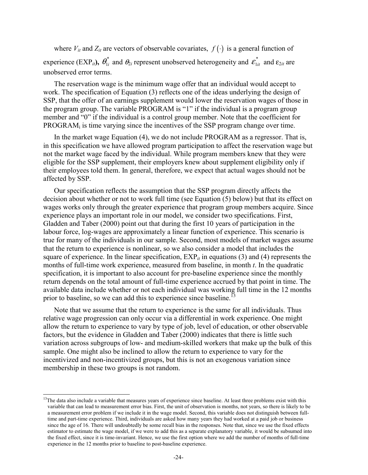where  $V_{it}$  and  $Z_{it}$  are vectors of observable covariates,  $f(\cdot)$  is a general function of experience (EXP<sub>*it*</sub>),  $\theta_{1i}^*$  and  $\theta_{2i}$  represent unobserved heterogeneity and  $\epsilon_{1it}^*$  and  $\epsilon_{2it}$  are unobserved error terms.

The reservation wage is the minimum wage offer that an individual would accept to work. The specification of Equation (3) reflects one of the ideas underlying the design of SSP, that the offer of an earnings supplement would lower the reservation wages of those in the program group. The variable PROGRAM is "1" if the individual is a program group member and "0" if the individual is a control group member. Note that the coefficient for PROGRAM<sub>i</sub> is time varying since the incentives of the SSP program change over time.

In the market wage Equation (4), we do not include PROGRAM as a regressor. That is, in this specification we have allowed program participation to affect the reservation wage but not the market wage faced by the individual. While program members knew that they were eligible for the SSP supplement, their employers knew about supplement eligibility only if their employees told them. In general, therefore, we expect that actual wages should not be affected by SSP.

Our specification reflects the assumption that the SSP program directly affects the decision about whether or not to work full time (see Equation (5) below) but that its effect on wages works only through the greater experience that program group members acquire. Since experience plays an important role in our model, we consider two specifications. First, Gladden and Taber (2000) point out that during the first 10 years of participation in the labour force, log-wages are approximately a linear function of experience. This scenario is true for many of the individuals in our sample. Second, most models of market wages assume that the return to experience is nonlinear, so we also consider a model that includes the square of experience. In the linear specification,  $EXP_{it}$  in equations (3) and (4) represents the months of full-time work experience, measured from baseline, in month *t*. In the quadratic specification, it is important to also account for pre-baseline experience since the monthly return depends on the total amount of full-time experience accrued by that point in time. The available data include whether or not each individual was working full time in the 12 months prior to baseline, so we can add this to experience since baseline.<sup>13</sup>

Note that we assume that the return to experience is the same for all individuals. Thus relative wage progression can only occur via a differential in work experience. One might allow the return to experience to vary by type of job, level of education, or other observable factors, but the evidence in Gladden and Taber (2000) indicates that there is little such variation across subgroups of low- and medium-skilled workers that make up the bulk of this sample. One might also be inclined to allow the return to experience to vary for the incentivized and non-incentivized groups, but this is not an exogenous variation since membership in these two groups is not random.

l

 $13$ The data also include a variable that measures years of experience since baseline. At least three problems exist with this variable that can lead to measurement error bias. First, the unit of observation is months, not years, so there is likely to be a measurement error problem if we include it in the wage model. Second, this variable does not distinguish between fulltime and part-time experience. Third, individuals are asked how many years they had worked at a paid job or business since the age of 16. There will undoubtedly be some recall bias in the responses. Note that, since we use the fixed effects estimator to estimate the wage model, if we were to add this as a separate explanatory variable, it would be subsumed into the fixed effect, since it is time-invariant. Hence, we use the first option where we add the number of months of full-time experience in the 12 months prior to baseline to post-baseline experience.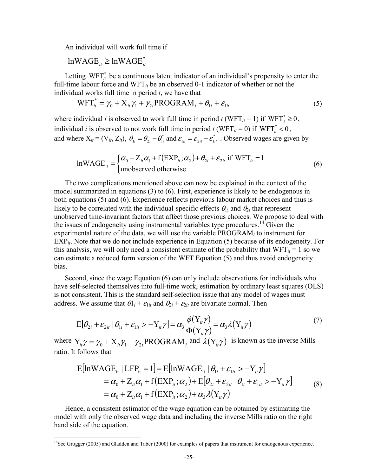An individual will work full time if

$$
\text{lnWAGE}_{it} \geq \text{lnWAGE}_{it}^*
$$

 $\overline{a}$ 

Letting  $WFT_{it}^*$  be a continuous latent indicator of an individual's propensity to enter the full-time labour force and WFT*it* be an observed 0-1 indicator of whether or not the individual works full time in period *t*, we have that

$$
WFT_{it}^* = \gamma_0 + X_{it}\gamma_1 + \gamma_{2t} PROGRAM_i + \theta_{1i} + \varepsilon_{1it}
$$
\n<sup>(5)</sup>

where individual *i* is observed to work full time in period *t* (WFT<sub>*it*</sub> = 1) if WFT<sup>\*</sup><sub>*it*</sub> ≥ 0, individual *i* is observed to not work full time in period *t* (WFT<sub>*it*</sub> = 0)</sub> if WFT<sub>*it*</sub> < 0, and where  $X_{it} = (V_{it}, Z_{it})$ ,  $\theta_{1i} = \theta_{2i} - \theta_{1i}^*$  and  $\varepsilon_{1it} = \varepsilon_{2it} - \varepsilon_{1i}^*$  $\theta_{1i} = \theta_{2i} - \theta_{1i}^*$  and  $\varepsilon_{1ii} = \varepsilon_{2ii} - \varepsilon_{1ii}^*$ . Observed wages are given by

$$
lnWAGE_{ii} = \begin{cases} \alpha_0 + Z_{ii}\alpha_1 + f(EXP_{ii}; \alpha_2) + \theta_{2i} + \varepsilon_{2ii} \text{ if } WFT_{ii} = 1\\ \text{unobserved otherwise} \end{cases}
$$
(6)

The two complications mentioned above can now be explained in the context of the model summarized in equations (3) to (6). First, experience is likely to be endogenous in both equations (5) and (6). Experience reflects previous labour market choices and thus is likely to be correlated with the individual-specific effects  $\theta_{1i}$  and  $\theta_{2i}$  that represent unobserved time-invariant factors that affect those previous choices. We propose to deal with the issues of endogeneity using instrumental variables type procedures.<sup>14</sup> Given the experimental nature of the data, we will use the variable PROGRAM*i* to instrument for EXP*it*. Note that we do not include experience in Equation (5) because of its endogeneity. For this analysis, we will only need a consistent estimate of the probability that  $WFT_{it} = 1$  so we can estimate a reduced form version of the WFT Equation (5) and thus avoid endogeneity bias.

Second, since the wage Equation (6) can only include observations for individuals who have self-selected themselves into full-time work, estimation by ordinary least squares (OLS) is not consistent. This is the standard self-selection issue that any model of wages must address. We assume that  $\theta_1 + \epsilon_{1it}$  and  $\theta_2 + \epsilon_{2it}$  are bivariate normal. Then

$$
E[\theta_{2i} + \varepsilon_{2it} | \theta_{1i} + \varepsilon_{1it} > -Y_{it}\gamma] = \alpha_3 \frac{\phi(Y_{it}\gamma)}{\Phi(Y_{it}\gamma)} = \alpha_3 \lambda(Y_{it}\gamma)
$$
\n(7)

where  $Y_{ii}\gamma = \gamma_0 + X_{ii}\gamma_1 + \gamma_2$ <sub>*t*</sub>PROGRAM<sub>*i*</sub> and  $\lambda(Y_{ii}\gamma)$  is known as the inverse Mills ratio. It follows that

$$
E[\ln WAGE_{it} | LFP_{it} = 1] = E[\ln WAGE_{it} | \theta_{1i} + \varepsilon_{1it} > -Y_{it}\gamma]
$$
  
=  $\alpha_0 + Z_{it}\alpha_1 + f(EXP_{it}; \alpha_2) + E[\theta_{2i} + \varepsilon_{2it} | \theta_{1i} + \varepsilon_{1it} > -Y_{it}\gamma]$   
=  $\alpha_0 + Z_{it}\alpha_1 + f(EXP_{it}; \alpha_2) + \alpha_3\lambda(Y_{it}\gamma)$  (8)

Hence, a consistent estimator of the wage equation can be obtained by estimating the model with only the observed wage data and including the inverse Mills ratio on the right hand side of the equation.

<sup>&</sup>lt;sup>14</sup>See Grogger (2005) and Gladden and Taber (2000) for examples of papers that instrument for endogenous experience.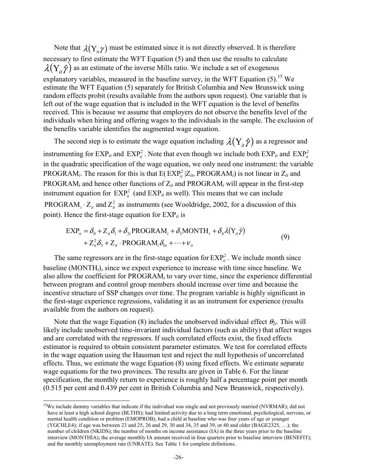Note that  $\lambda(Y_i, \gamma)$  must be estimated since it is not directly observed. It is therefore necessary to first estimate the WFT Equation (5) and then use the results to calculate  $\lambda(Y_i \hat{y})$  as an estimate of the inverse Mills ratio. We include a set of exogenous explanatory variables, measured in the baseline survey, in the WFT Equation  $(5)$ .<sup>15</sup> We estimate the WFT Equation (5) separately for British Columbia and New Brunswick using random effects probit (results available from the authors upon request). One variable that is left out of the wage equation that is included in the WFT equation is the level of benefits received. This is because we assume that employers do not observe the benefits level of the individuals when hiring and offering wages to the individuals in the sample. The exclusion of the benefits variable identifies the augmented wage equation.

The second step is to estimate the wage equation including  $\lambda(Y_i, \hat{\gamma})$  as a regressor and instrumenting for  $\text{EXP}_{it}$  and  $\text{EXP}_{it}^2$ . Note that even though we include both  $\text{EXP}_{it}$  and  $\text{EXP}_{it}^2$ in the quadratic specification of the wage equation, we only need one instrument: the variable PROGRAM<sub>*i*</sub>. The reason for this is that  $E(EXP_{it}^{2} | Z_{it}$ , PROGRAM<sub>*i*</sub>) is not linear in  $Z_{it}$  and PROGRAM<sub>i</sub> and hence other functions of  $Z_{it}$  and PROGRAM<sub>i</sub> will appear in the first-step instrument equation for  $\text{EXP}_{it}^2$  (and  $\text{EXP}_{it}$  as well). This means that we can include PROGRAM<sub>*i*</sub>  $\cdot$  Z<sub>it</sub> and Z<sup>2</sup><sub>it</sub></sub> as instruments (see Wooldridge, 2002, for a discussion of this point). Hence the first-stage equation for EXP*it* is

$$
EXP_{it} = \delta_0 + Z_{it}\delta_1 + \delta_{2t} PROGRAM_i + \delta_3 MONTH_t + \delta_4 \lambda(Y_{it}\hat{\gamma})
$$
  
+  $Z_{it}^2 \delta_5 + Z_{it} \cdot PROGRAM_i \delta_{6t} + \dots + V_{it}$  (9)

The same regressors are in the first-stage equation for  $\text{EXP}_{it}^2$ . We include month since baseline (MONTH*t*), since we expect experience to increase with time since baseline. We also allow the coefficient for PROGRAM*i* to vary over time, since the experience differential between program and control group members should increase over time and because the incentive structure of SSP changes over time. The program variable is highly significant in the first-stage experience regressions, validating it as an instrument for experience (results available from the authors on request).

Note that the wage Equation (8) includes the unobserved individual effect  $\theta_{2i}$ . This will likely include unobserved time-invariant individual factors (such as ability) that affect wages and are correlated with the regressors. If such correlated effects exist, the fixed effects estimator is required to obtain consistent parameter estimates. We test for correlated effects in the wage equation using the Hausman test and reject the null hypothesis of uncorrelated effects. Thus, we estimate the wage Equation (8) using fixed effects. We estimate separate wage equations for the two provinces. The results are given in Table 6. For the linear specification, the monthly return to experience is roughly half a percentage point per month (0.515 per cent and 0.439 per cent in British Columbia and New Brunswick, respectively).

 $\overline{a}$ 

<sup>&</sup>lt;sup>15</sup>We include dummy variables that indicate if the individual was single and not previously married (NVRMAR); did not have at least a high school degree (BLTHS); had limited activity due to a long term emotional, psychological, nervous, or mental health condition or problem (EMOPROB); had a child at baseline who was four years of age or younger (YGCHLE4); if age was between 23 and 25, 26 and 29, 30 and 34, 35 and 39, or 40 and older (BAGE2325, …); the number of children (NKIDS); the number of months on income assistance (IA) in the three years prior to the baseline interview (MONTHIA); the average monthly IA amount received in four quarters prior to baseline interview (BENEFIT); and the monthly unemployment rate (UNRATE). See Table 1 for complete definitions.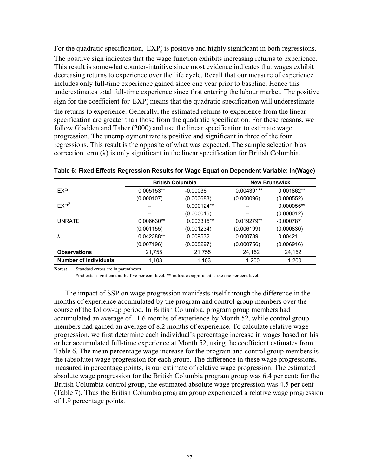For the quadratic specification,  $EXP<sub>i</sub><sup>2</sup>$  is positive and highly significant in both regressions. The positive sign indicates that the wage function exhibits increasing returns to experience. This result is somewhat counter-intuitive since most evidence indicates that wages exhibit decreasing returns to experience over the life cycle. Recall that our measure of experience includes only full-time experience gained since one year prior to baseline. Hence this underestimates total full-time experience since first entering the labour market. The positive sign for the coefficient for  $\text{EXP}_{it}^2$  means that the quadratic specification will underestimate the returns to experience. Generally, the estimated returns to experience from the linear specification are greater than those from the quadratic specification. For these reasons, we follow Gladden and Taber (2000) and use the linear specification to estimate wage progression. The unemployment rate is positive and significant in three of the four regressions. This result is the opposite of what was expected. The sample selection bias correction term  $(\lambda)$  is only significant in the linear specification for British Columbia.

|                              | <b>British Columbia</b> |              |            | <b>New Brunswick</b> |
|------------------------------|-------------------------|--------------|------------|----------------------|
| <b>EXP</b>                   | 0.005153**              | $-0.00036$   | 0.004391** | 0.001862**           |
|                              | (0.000107)              | (0.000683)   | (0.000096) | (0.000552)           |
| EXP <sup>2</sup>             | --                      | $0.000124**$ |            | 0.000055**           |
|                              |                         | (0.000015)   |            | (0.000012)           |
| <b>UNRATE</b>                | 0.006630**              | 0.003315**   | 0.019279** | $-0.000787$          |
|                              | (0.001155)              | (0.001234)   | (0.006199) | (0.000830)           |
| λ                            | 0.042388**              | 0.009532     | 0.000789   | 0.00421              |
|                              | (0.007196)              | (0.008297)   | (0.000756) | (0.006916)           |
| <b>Observations</b>          | 21,755                  | 21,755       | 24,152     | 24,152               |
| <b>Number of individuals</b> | 1,103                   | 1,103        | 1,200      | 1,200                |

**Table 6: Fixed Effects Regression Results for Wage Equation Dependent Variable: ln(Wage)**

**Notes:** Standard errors are in parentheses.

\*indicates significant at the five per cent level, \*\* indicates significant at the one per cent level.

The impact of SSP on wage progression manifests itself through the difference in the months of experience accumulated by the program and control group members over the course of the follow-up period. In British Columbia, program group members had accumulated an average of 11.6 months of experience by Month 52, while control group members had gained an average of 8.2 months of experience. To calculate relative wage progression, we first determine each individual's percentage increase in wages based on his or her accumulated full-time experience at Month 52, using the coefficient estimates from Table 6. The mean percentage wage increase for the program and control group members is the (absolute) wage progression for each group. The difference in these wage progressions, measured in percentage points, is our estimate of relative wage progression. The estimated absolute wage progression for the British Columbia program group was 6.4 per cent; for the British Columbia control group, the estimated absolute wage progression was 4.5 per cent (Table 7). Thus the British Columbia program group experienced a relative wage progression of 1.9 percentage points.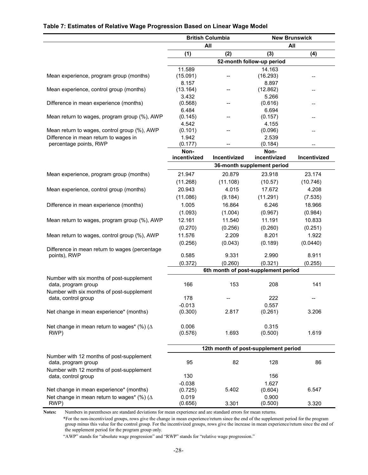### **Table 7: Estimates of Relative Wage Progression Based on Linear Wage Model**

|                                                    | <b>British Columbia</b> |              | <b>New Brunswick</b>                 |              |
|----------------------------------------------------|-------------------------|--------------|--------------------------------------|--------------|
|                                                    |                         | All          | All                                  |              |
|                                                    | (1)                     | (2)          | (3)                                  | (4)          |
|                                                    |                         |              | 52-month follow-up period            |              |
|                                                    | 11.589                  |              | 14.163                               |              |
| Mean experience, program group (months)            | (15.091)                |              | (16.293)                             | --           |
|                                                    | 8.157                   |              | 8.897                                |              |
| Mean experience, control group (months)            | (13.164)                | --           | (12.862)                             | --           |
|                                                    | 3.432                   |              | 5.266                                |              |
| Difference in mean experience (months)             | (0.568)                 |              | (0.616)                              | --           |
| Mean return to wages, program group (%), AWP       | 6.484                   |              | 6.694<br>(0.157)                     |              |
|                                                    | (0.145)<br>4.542        | $-$          | 4.155                                |              |
| Mean return to wages, control group (%), AWP       | (0.101)                 |              | (0.096)                              | --           |
| Difference in mean return to wages in              | 1.942                   |              | 2.539                                |              |
| percentage points, RWP                             | (0.177)                 | $-$          | (0.184)                              | --           |
|                                                    | Non-                    |              | Non-                                 |              |
|                                                    | incentivized            | Incentivized | incentivized                         | Incentivized |
|                                                    |                         |              | 36-month supplement period           |              |
| Mean experience, program group (months)            | 21.947                  | 20.879       | 23.918                               | 23.174       |
|                                                    | (11.268)                | (11.108)     | (10.57)                              | (10.746)     |
| Mean experience, control group (months)            | 20.943                  | 4.015        | 17.672                               | 4.208        |
|                                                    | (11.086)                | (9.184)      | (11.291)                             | (7.535)      |
| Difference in mean experience (months)             | 1.005                   | 16.864       | 6.246                                | 18.966       |
|                                                    | (1.093)                 | (1.004)      | (0.967)                              | (0.984)      |
| Mean return to wages, program group (%), AWP       | 12.161                  | 11.540       | 11.191                               | 10.833       |
|                                                    | (0.270)                 | (0.256)      | (0.260)                              | (0.251)      |
| Mean return to wages, control group (%), AWP       | 11.576                  | 2.209        | 8.201                                | 1.922        |
|                                                    | (0.256)                 | (0.043)      | (0.189)                              | (0.0440)     |
| Difference in mean return to wages (percentage     |                         |              |                                      |              |
| points), RWP                                       | 0.585                   | 9.331        | 2.990                                | 8.911        |
|                                                    | (0.372)                 | (0.260)      | (0.321)                              | (0.255)      |
|                                                    |                         |              | 6th month of post-supplement period  |              |
| Number with six months of post-supplement          |                         |              |                                      |              |
| data, program group                                | 166                     | 153          | 208                                  | 141          |
| Number with six months of post-supplement          |                         |              |                                      |              |
| data, control group                                | 178                     |              | 222                                  | --           |
| Net change in mean experience* (months)            | $-0.013$<br>(0.300)     | 2.817        | 0.557<br>(0.261)                     | 3.206        |
|                                                    |                         |              |                                      |              |
| Net change in mean return to wages* (%) ( $\Delta$ | 0.006                   |              | 0.315                                |              |
| RWP)                                               | (0.576)                 | 1.693        | (0.500)                              | 1.619        |
|                                                    |                         |              |                                      |              |
|                                                    |                         |              | 12th month of post-supplement period |              |
| Number with 12 months of post-supplement           |                         |              |                                      |              |
| data, program group                                | 95                      | 82           | 128                                  | 86           |
| Number with 12 months of post-supplement           |                         |              |                                      |              |
| data, control group                                | 130                     |              | 156                                  |              |
|                                                    | $-0.038$                |              | 1.627                                |              |
| Net change in mean experience* (months)            | (0.725)                 | 5.402        | (0.604)                              | 6.547        |
| Net change in mean return to wages* (%) ( $\Delta$ | 0.019                   |              | 0.900                                |              |
| RWP)                                               | (0.656)                 | 3.301        | (0.500)                              | 3.320        |

**Notes:** Numbers in parentheses are standard deviations for mean experience and are standard errors for mean returns.

\*For the non-incentivized groups, rows give the change in mean experience/return since the end of the supplement period for the program group minus this value for the control group. For the incentivized groups, rows give the increase in mean experience/return since the end of the supplement period for the program group only.

"AWP" stands for "absolute wage progression" and "RWP" stands for "relative wage progression."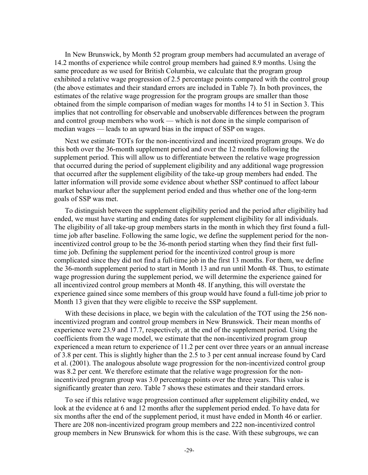In New Brunswick, by Month 52 program group members had accumulated an average of 14.2 months of experience while control group members had gained 8.9 months. Using the same procedure as we used for British Columbia, we calculate that the program group exhibited a relative wage progression of 2.5 percentage points compared with the control group (the above estimates and their standard errors are included in Table 7). In both provinces, the estimates of the relative wage progression for the program groups are smaller than those obtained from the simple comparison of median wages for months 14 to 51 in Section 3. This implies that not controlling for observable and unobservable differences between the program and control group members who work — which is not done in the simple comparison of median wages — leads to an upward bias in the impact of SSP on wages.

Next we estimate TOTs for the non-incentivized and incentivized program groups. We do this both over the 36-month supplement period and over the 12 months following the supplement period. This will allow us to differentiate between the relative wage progression that occurred during the period of supplement eligibility and any additional wage progression that occurred after the supplement eligibility of the take-up group members had ended. The latter information will provide some evidence about whether SSP continued to affect labour market behaviour after the supplement period ended and thus whether one of the long-term goals of SSP was met.

To distinguish between the supplement eligibility period and the period after eligibility had ended, we must have starting and ending dates for supplement eligibility for all individuals. The eligibility of all take-up group members starts in the month in which they first found a fulltime job after baseline. Following the same logic, we define the supplement period for the nonincentivized control group to be the 36-month period starting when they find their first fulltime job. Defining the supplement period for the incentivized control group is more complicated since they did not find a full-time job in the first 13 months. For them, we define the 36-month supplement period to start in Month 13 and run until Month 48. Thus, to estimate wage progression during the supplement period, we will determine the experience gained for all incentivized control group members at Month 48. If anything, this will overstate the experience gained since some members of this group would have found a full-time job prior to Month 13 given that they were eligible to receive the SSP supplement.

With these decisions in place, we begin with the calculation of the TOT using the 256 nonincentivized program and control group members in New Brunswick. Their mean months of experience were 23.9 and 17.7, respectively, at the end of the supplement period. Using the coefficients from the wage model, we estimate that the non-incentivized program group experienced a mean return to experience of 11.2 per cent over three years or an annual increase of 3.8 per cent. This is slightly higher than the 2.5 to 3 per cent annual increase found by Card et al. (2001). The analogous absolute wage progression for the non-incentivized control group was 8.2 per cent. We therefore estimate that the relative wage progression for the nonincentivized program group was 3.0 percentage points over the three years. This value is significantly greater than zero. Table 7 shows these estimates and their standard errors.

To see if this relative wage progression continued after supplement eligibility ended, we look at the evidence at 6 and 12 months after the supplement period ended. To have data for six months after the end of the supplement period, it must have ended in Month 46 or earlier. There are 208 non-incentivized program group members and 222 non-incentivized control group members in New Brunswick for whom this is the case. With these subgroups, we can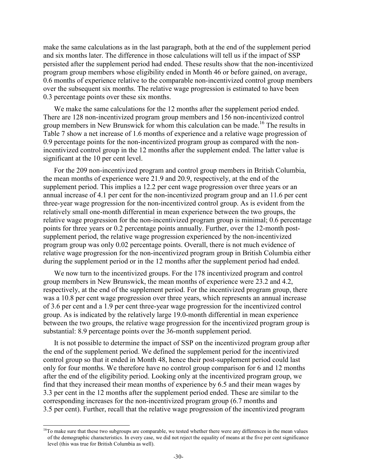make the same calculations as in the last paragraph, both at the end of the supplement period and six months later. The difference in those calculations will tell us if the impact of SSP persisted after the supplement period had ended. These results show that the non-incentivized program group members whose eligibility ended in Month 46 or before gained, on average, 0.6 months of experience relative to the comparable non-incentivized control group members over the subsequent six months. The relative wage progression is estimated to have been 0.3 percentage points over these six months.

We make the same calculations for the 12 months after the supplement period ended. There are 128 non-incentivized program group members and 156 non-incentivized control group members in New Brunswick for whom this calculation can be made.<sup>16</sup> The results in Table 7 show a net increase of 1.6 months of experience and a relative wage progression of 0.9 percentage points for the non-incentivized program group as compared with the nonincentivized control group in the 12 months after the supplement ended. The latter value is significant at the 10 per cent level.

For the 209 non-incentivized program and control group members in British Columbia, the mean months of experience were 21.9 and 20.9, respectively, at the end of the supplement period. This implies a 12.2 per cent wage progression over three years or an annual increase of 4.1 per cent for the non-incentivized program group and an 11.6 per cent three-year wage progression for the non-incentivized control group. As is evident from the relatively small one-month differential in mean experience between the two groups, the relative wage progression for the non-incentivized program group is minimal; 0.6 percentage points for three years or 0.2 percentage points annually. Further, over the 12-month postsupplement period, the relative wage progression experienced by the non-incentivized program group was only 0.02 percentage points. Overall, there is not much evidence of relative wage progression for the non-incentivized program group in British Columbia either during the supplement period or in the 12 months after the supplement period had ended.

We now turn to the incentivized groups. For the 178 incentivized program and control group members in New Brunswick, the mean months of experience were 23.2 and 4.2, respectively, at the end of the supplement period. For the incentivized program group, there was a 10.8 per cent wage progression over three years, which represents an annual increase of 3.6 per cent and a 1.9 per cent three-year wage progression for the incentivized control group. As is indicated by the relatively large 19.0-month differential in mean experience between the two groups, the relative wage progression for the incentivized program group is substantial: 8.9 percentage points over the 36-month supplement period.

It is not possible to determine the impact of SSP on the incentivized program group after the end of the supplement period. We defined the supplement period for the incentivized control group so that it ended in Month 48, hence their post-supplement period could last only for four months. We therefore have no control group comparison for 6 and 12 months after the end of the eligibility period. Looking only at the incentivized program group, we find that they increased their mean months of experience by 6.5 and their mean wages by 3.3 per cent in the 12 months after the supplement period ended. These are similar to the corresponding increases for the non-incentivized program group (6.7 months and 3.5 per cent). Further, recall that the relative wage progression of the incentivized program

l

<sup>&</sup>lt;sup>16</sup>To make sure that these two subgroups are comparable, we tested whether there were any differences in the mean values of the demographic characteristics. In every case, we did not reject the equality of means at the five per cent significance level (this was true for British Columbia as well).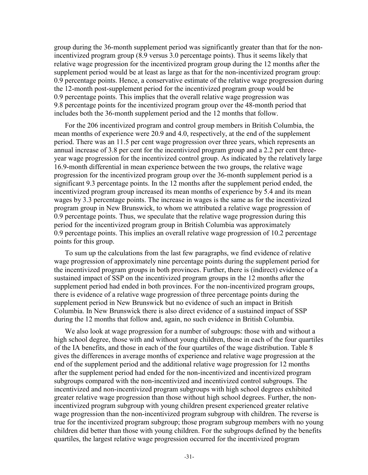group during the 36-month supplement period was significantly greater than that for the nonincentivized program group (8.9 versus 3.0 percentage points). Thus it seems likely that relative wage progression for the incentivized program group during the 12 months after the supplement period would be at least as large as that for the non-incentivized program group: 0.9 percentage points. Hence, a conservative estimate of the relative wage progression during the 12-month post-supplement period for the incentivized program group would be 0.9 percentage points. This implies that the overall relative wage progression was 9.8 percentage points for the incentivized program group over the 48-month period that includes both the 36-month supplement period and the 12 months that follow.

For the 206 incentivized program and control group members in British Columbia, the mean months of experience were 20.9 and 4.0, respectively, at the end of the supplement period. There was an 11.5 per cent wage progression over three years, which represents an annual increase of 3.8 per cent for the incentivized program group and a 2.2 per cent threeyear wage progression for the incentivized control group. As indicated by the relatively large 16.9-month differential in mean experience between the two groups, the relative wage progression for the incentivized program group over the 36-month supplement period is a significant 9.3 percentage points. In the 12 months after the supplement period ended, the incentivized program group increased its mean months of experience by 5.4 and its mean wages by 3.3 percentage points. The increase in wages is the same as for the incentivized program group in New Brunswick, to whom we attributed a relative wage progression of 0.9 percentage points. Thus, we speculate that the relative wage progression during this period for the incentivized program group in British Columbia was approximately 0.9 percentage points. This implies an overall relative wage progression of 10.2 percentage points for this group.

To sum up the calculations from the last few paragraphs, we find evidence of relative wage progression of approximately nine percentage points during the supplement period for the incentivized program groups in both provinces. Further, there is (indirect) evidence of a sustained impact of SSP on the incentivized program groups in the 12 months after the supplement period had ended in both provinces. For the non-incentivized program groups, there is evidence of a relative wage progression of three percentage points during the supplement period in New Brunswick but no evidence of such an impact in British Columbia. In New Brunswick there is also direct evidence of a sustained impact of SSP during the 12 months that follow and, again, no such evidence in British Columbia.

We also look at wage progression for a number of subgroups: those with and without a high school degree, those with and without young children, those in each of the four quartiles of the IA benefits, and those in each of the four quartiles of the wage distribution. Table 8 gives the differences in average months of experience and relative wage progression at the end of the supplement period and the additional relative wage progression for 12 months after the supplement period had ended for the non-incentivized and incentivized program subgroups compared with the non-incentivized and incentivized control subgroups. The incentivized and non-incentivized program subgroups with high school degrees exhibited greater relative wage progression than those without high school degrees. Further, the nonincentivized program subgroup with young children present experienced greater relative wage progression than the non-incentivized program subgroup with children. The reverse is true for the incentivized program subgroup; those program subgroup members with no young children did better than those with young children. For the subgroups defined by the benefits quartiles, the largest relative wage progression occurred for the incentivized program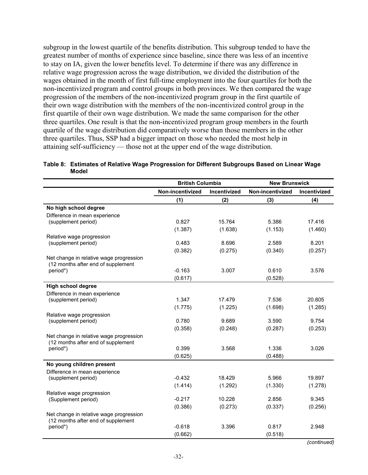subgroup in the lowest quartile of the benefits distribution. This subgroup tended to have the greatest number of months of experience since baseline, since there was less of an incentive to stay on IA, given the lower benefits level. To determine if there was any difference in relative wage progression across the wage distribution, we divided the distribution of the wages obtained in the month of first full-time employment into the four quartiles for both the non-incentivized program and control groups in both provinces. We then compared the wage progression of the members of the non-incentivized program group in the first quartile of their own wage distribution with the members of the non-incentivized control group in the first quartile of their own wage distribution. We made the same comparison for the other three quartiles. One result is that the non-incentivized program group members in the fourth quartile of the wage distribution did comparatively worse than those members in the other three quartiles. Thus, SSP had a bigger impact on those who needed the most help in attaining self-sufficiency — those not at the upper end of the wage distribution.

| Table 8: Estimates of Relative Wage Progression for Different Subgroups Based on Linear Wage |
|----------------------------------------------------------------------------------------------|
| Model                                                                                        |

|                                                                               | <b>British Columbia</b> |              | <b>New Brunswick</b> |              |
|-------------------------------------------------------------------------------|-------------------------|--------------|----------------------|--------------|
|                                                                               | Non-incentivized        | Incentivized | Non-incentivized     | Incentivized |
|                                                                               | (1)                     | (2)          | (3)                  | (4)          |
| No high school degree                                                         |                         |              |                      |              |
| Difference in mean experience                                                 |                         |              |                      |              |
| (supplement period)                                                           | 0.827                   | 15.764       | 5.386                | 17.416       |
|                                                                               | (1.387)                 | (1.638)      | (1.153)              | (1.460)      |
| Relative wage progression                                                     |                         |              |                      |              |
| (supplement period)                                                           | 0.483                   | 8.696        | 2.589                | 8.201        |
|                                                                               | (0.382)                 | (0.275)      | (0.340)              | (0.257)      |
| Net change in relative wage progression<br>(12 months after end of supplement |                         |              |                      |              |
| period*)                                                                      | $-0.163$                | 3.007        | 0.610                | 3.576        |
|                                                                               | (0.617)                 |              | (0.528)              |              |
| <b>High school degree</b>                                                     |                         |              |                      |              |
| Difference in mean experience                                                 |                         |              |                      |              |
| (supplement period)                                                           | 1.347                   | 17.479       | 7.536                | 20.805       |
|                                                                               | (1.775)                 | (1.225)      | (1.698)              | (1.285)      |
| Relative wage progression                                                     |                         |              |                      |              |
| (supplement period)                                                           | 0.780                   | 9.689        | 3.590                | 9.754        |
|                                                                               | (0.358)                 | (0.248)      | (0.287)              | (0.253)      |
| Net change in relative wage progression                                       |                         |              |                      |              |
| (12 months after end of supplement                                            |                         |              |                      |              |
| period*)                                                                      | 0.399                   | 3.568        | 1.336                | 3.026        |
|                                                                               | (0.625)                 |              | (0.488)              |              |
| No young children present                                                     |                         |              |                      |              |
| Difference in mean experience                                                 |                         |              |                      |              |
| (supplement period)                                                           | $-0.432$                | 18.429       | 5.966                | 19.897       |
|                                                                               | (1.414)                 | (1.292)      | (1.330)              | (1.278)      |
| Relative wage progression                                                     |                         |              |                      |              |
| (Supplement period)                                                           | $-0.217$                | 10.228       | 2.856                | 9.345        |
|                                                                               | (0.386)                 | (0.273)      | (0.337)              | (0.256)      |
| Net change in relative wage progression<br>(12 months after end of supplement |                         |              |                      |              |
| period*)                                                                      | $-0.618$                | 3.396        | 0.817                | 2.948        |
|                                                                               | (0.662)                 |              | (0.518)              |              |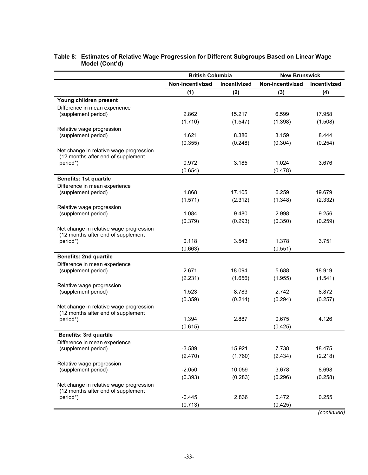|                                                      | <b>British Columbia</b> |              | <b>New Brunswick</b> |              |
|------------------------------------------------------|-------------------------|--------------|----------------------|--------------|
|                                                      | Non-incentivized        | Incentivized | Non-incentivized     | Incentivized |
|                                                      | (1)                     | (2)          | (3)                  | (4)          |
| Young children present                               |                         |              |                      |              |
| Difference in mean experience                        |                         |              |                      |              |
| (supplement period)                                  | 2.862                   | 15.217       | 6.599                | 17.958       |
| Relative wage progression                            | (1.710)                 | (1.547)      | (1.398)              | (1.508)      |
| (supplement period)                                  | 1.621                   | 8.386        | 3.159                | 8.444        |
|                                                      | (0.355)                 | (0.248)      | (0.304)              | (0.254)      |
| Net change in relative wage progression              |                         |              |                      |              |
| (12 months after end of supplement                   |                         |              |                      |              |
| period*)                                             | 0.972                   | 3.185        | 1.024                | 3.676        |
|                                                      | (0.654)                 |              | (0.478)              |              |
| <b>Benefits: 1st quartile</b>                        |                         |              |                      |              |
| Difference in mean experience<br>(supplement period) | 1.868                   | 17.105       | 6.259                | 19.679       |
|                                                      | (1.571)                 | (2.312)      | (1.348)              | (2.332)      |
| Relative wage progression                            |                         |              |                      |              |
| (supplement period)                                  | 1.084                   | 9.480        | 2.998                | 9.256        |
|                                                      | (0.379)                 | (0.293)      | (0.350)              | (0.259)      |
| Net change in relative wage progression              |                         |              |                      |              |
| (12 months after end of supplement<br>period*)       | 0.118                   | 3.543        | 1.378                | 3.751        |
|                                                      | (0.663)                 |              | (0.551)              |              |
| <b>Benefits: 2nd quartile</b>                        |                         |              |                      |              |
| Difference in mean experience                        |                         |              |                      |              |
| (supplement period)                                  | 2.671                   | 18.094       | 5.688                | 18.919       |
|                                                      | (2.231)                 | (1.656)      | (1.955)              | (1.541)      |
| Relative wage progression                            |                         |              |                      |              |
| (supplement period)                                  | 1.523                   | 8.783        | 2.742                | 8.872        |
| Net change in relative wage progression              | (0.359)                 | (0.214)      | (0.294)              | (0.257)      |
| (12 months after end of supplement                   |                         |              |                      |              |
| period*)                                             | 1.394                   | 2.887        | 0.675                | 4.126        |
|                                                      | (0.615)                 |              | (0.425)              |              |
| <b>Benefits: 3rd quartile</b>                        |                         |              |                      |              |
| Difference in mean experience                        |                         |              |                      |              |
| (supplement period)                                  | $-3.589$                | 15.921       | 7.738                | 18.475       |
|                                                      | (2.470)                 | (1.760)      | (2.434)              | (2.218)      |
| Relative wage progression<br>(supplement period)     | $-2.050$                | 10.059       | 3.678                | 8.698        |
|                                                      | (0.393)                 | (0.283)      | (0.296)              | (0.258)      |
| Net change in relative wage progression              |                         |              |                      |              |
| (12 months after end of supplement                   |                         |              |                      |              |
| period*)                                             | $-0.445$                | 2.836        | 0.472                | 0.255        |
|                                                      | (0.713)                 |              | (0.425)              |              |

### **Table 8: Estimates of Relative Wage Progression for Different Subgroups Based on Linear Wage Model (Cont'd)**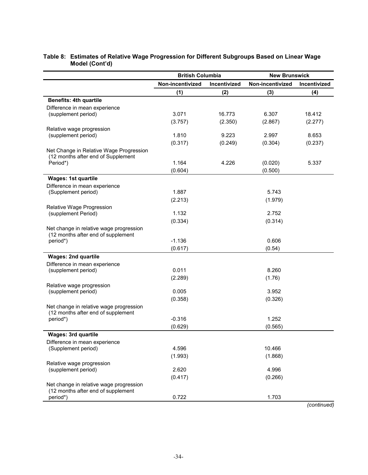|                                                  | <b>British Columbia</b> |              | <b>New Brunswick</b> |              |
|--------------------------------------------------|-------------------------|--------------|----------------------|--------------|
|                                                  | Non-incentivized        | Incentivized | Non-incentivized     | Incentivized |
|                                                  | (1)                     | (2)          | (3)                  | (4)          |
| <b>Benefits: 4th quartile</b>                    |                         |              |                      |              |
| Difference in mean experience                    |                         |              |                      |              |
| (supplement period)                              | 3.071                   | 16.773       | 6.307                | 18.412       |
|                                                  | (3.757)                 | (2.350)      | (2.867)              | (2.277)      |
| Relative wage progression                        | 1.810                   | 9.223        | 2.997                | 8.653        |
| (supplement period)                              |                         |              |                      |              |
| Net Change in Relative Wage Progression          | (0.317)                 | (0.249)      | (0.304)              | (0.237)      |
| (12 months after end of Supplement               |                         |              |                      |              |
| Period*)                                         | 1.164                   | 4.226        | (0.020)              | 5.337        |
|                                                  | (0.604)                 |              | (0.500)              |              |
| <b>Wages: 1st quartile</b>                       |                         |              |                      |              |
| Difference in mean experience                    |                         |              |                      |              |
| (Supplement period)                              | 1.887                   |              | 5.743                |              |
|                                                  | (2.213)                 |              | (1.979)              |              |
| Relative Wage Progression                        |                         |              |                      |              |
| (supplement Period)                              | 1.132                   |              | 2.752                |              |
|                                                  | (0.334)                 |              | (0.314)              |              |
| Net change in relative wage progression          |                         |              |                      |              |
| (12 months after end of supplement<br>period*)   | $-1.136$                |              | 0.606                |              |
|                                                  | (0.617)                 |              | (0.54)               |              |
| <b>Wages: 2nd quartile</b>                       |                         |              |                      |              |
| Difference in mean experience                    |                         |              |                      |              |
| (supplement period)                              | 0.011                   |              | 8.260                |              |
|                                                  | (2.289)                 |              | (1.76)               |              |
| Relative wage progression                        |                         |              |                      |              |
| (supplement period)                              | 0.005                   |              | 3.952                |              |
|                                                  | (0.358)                 |              | (0.326)              |              |
| Net change in relative wage progression          |                         |              |                      |              |
| (12 months after end of supplement               |                         |              |                      |              |
| period*)                                         | $-0.316$                |              | 1.252                |              |
|                                                  | (0.629)                 |              | (0.565)              |              |
| <b>Wages: 3rd quartile</b>                       |                         |              |                      |              |
| Difference in mean experience                    | 4.596                   |              | 10.466               |              |
| (Supplement period)                              |                         |              |                      |              |
|                                                  | (1.993)                 |              | (1.868)              |              |
| Relative wage progression<br>(supplement period) | 2.620                   |              | 4.996                |              |
|                                                  | (0.417)                 |              | (0.266)              |              |
| Net change in relative wage progression          |                         |              |                      |              |
| (12 months after end of supplement               |                         |              |                      |              |
| period*)                                         | 0.722                   |              | 1.703                |              |

### **Table 8: Estimates of Relative Wage Progression for Different Subgroups Based on Linear Wage Model (Cont'd)**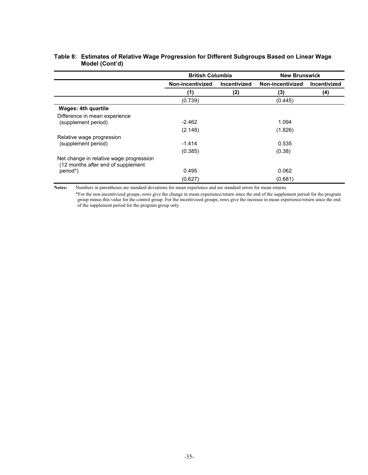|                                                                               | <b>British Columbia</b> |              | <b>New Brunswick</b> |                     |
|-------------------------------------------------------------------------------|-------------------------|--------------|----------------------|---------------------|
|                                                                               | Non-incentivized        | Incentivized | Non-incentivized     | <b>Incentivized</b> |
|                                                                               | (1)                     | (2)          | (3)                  | (4)                 |
|                                                                               | (0.739)                 |              | (0.445)              |                     |
| <b>Wages: 4th quartile</b>                                                    |                         |              |                      |                     |
| Difference in mean experience                                                 |                         |              |                      |                     |
| (supplement period)                                                           | $-2.462$                |              | 1.094                |                     |
|                                                                               | (2.148)                 |              | (1.826)              |                     |
| Relative wage progression                                                     |                         |              |                      |                     |
| (supplement period)                                                           | $-1.414$                |              | 0.535                |                     |
|                                                                               | (0.385)                 |              | (0.38)               |                     |
| Net change in relative wage progression<br>(12 months after end of supplement |                         |              |                      |                     |
| period*)                                                                      | 0.495                   |              | 0.062                |                     |
|                                                                               | (0.627)                 |              | (0.681)              |                     |

### **Table 8: Estimates of Relative Wage Progression for Different Subgroups Based on Linear Wage Model (Cont'd)**

**Notes:** Numbers in parentheses are standard deviations for mean experience and are standard errors for mean returns. \*For the non-incentivized groups, rows give the change in mean experience/return since the end of the supplement period for the program group minus this value for the control group. For the incentivized groups, rows give the increase in mean experience/return since the end of the supplement period for the program group only.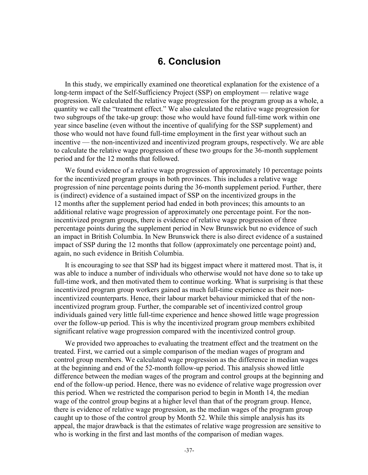## **6. Conclusion**

In this study, we empirically examined one theoretical explanation for the existence of a long-term impact of the Self-Sufficiency Project (SSP) on employment — relative wage progression. We calculated the relative wage progression for the program group as a whole, a quantity we call the "treatment effect." We also calculated the relative wage progression for two subgroups of the take-up group: those who would have found full-time work within one year since baseline (even without the incentive of qualifying for the SSP supplement) and those who would not have found full-time employment in the first year without such an incentive — the non-incentivized and incentivized program groups, respectively. We are able to calculate the relative wage progression of these two groups for the 36-month supplement period and for the 12 months that followed.

We found evidence of a relative wage progression of approximately 10 percentage points for the incentivized program groups in both provinces. This includes a relative wage progression of nine percentage points during the 36-month supplement period. Further, there is (indirect) evidence of a sustained impact of SSP on the incentivized groups in the 12 months after the supplement period had ended in both provinces; this amounts to an additional relative wage progression of approximately one percentage point. For the nonincentivized program groups, there is evidence of relative wage progression of three percentage points during the supplement period in New Brunswick but no evidence of such an impact in British Columbia. In New Brunswick there is also direct evidence of a sustained impact of SSP during the 12 months that follow (approximately one percentage point) and, again, no such evidence in British Columbia.

It is encouraging to see that SSP had its biggest impact where it mattered most. That is, it was able to induce a number of individuals who otherwise would not have done so to take up full-time work, and then motivated them to continue working. What is surprising is that these incentivized program group workers gained as much full-time experience as their nonincentivized counterparts. Hence, their labour market behaviour mimicked that of the nonincentivized program group. Further, the comparable set of incentivized control group individuals gained very little full-time experience and hence showed little wage progression over the follow-up period. This is why the incentivized program group members exhibited significant relative wage progression compared with the incentivized control group.

We provided two approaches to evaluating the treatment effect and the treatment on the treated. First, we carried out a simple comparison of the median wages of program and control group members. We calculated wage progression as the difference in median wages at the beginning and end of the 52-month follow-up period. This analysis showed little difference between the median wages of the program and control groups at the beginning and end of the follow-up period. Hence, there was no evidence of relative wage progression over this period. When we restricted the comparison period to begin in Month 14, the median wage of the control group begins at a higher level than that of the program group. Hence, there is evidence of relative wage progression, as the median wages of the program group caught up to those of the control group by Month 52. While this simple analysis has its appeal, the major drawback is that the estimates of relative wage progression are sensitive to who is working in the first and last months of the comparison of median wages.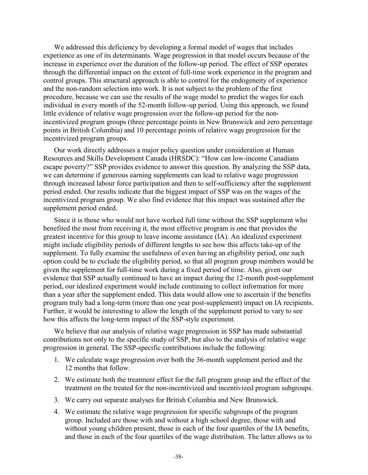We addressed this deficiency by developing a formal model of wages that includes experience as one of its determinants. Wage progression in that model occurs because of the increase in experience over the duration of the follow-up period. The effect of SSP operates through the differential impact on the extent of full-time work experience in the program and control groups. This structural approach is able to control for the endogeneity of experience and the non-random selection into work. It is not subject to the problem of the first procedure, because we can use the results of the wage model to predict the wages for each individual in every month of the 52-month follow-up period. Using this approach, we found little evidence of relative wage progression over the follow-up period for the nonincentivized program groups (three percentage points in New Brunswick and zero percentage points in British Columbia) and 10 percentage points of relative wage progression for the incentivized program groups.

Our work directly addresses a major policy question under consideration at Human Resources and Skills Development Canada (HRSDC): "How can low-income Canadians escape poverty?" SSP provides evidence to answer this question. By analyzing the SSP data, we can determine if generous earning supplements can lead to relative wage progression through increased labour force participation and then to self-sufficiency after the supplement period ended. Our results indicate that the biggest impact of SSP was on the wages of the incentivized program group. We also find evidence that this impact was sustained after the supplement period ended.

Since it is those who would not have worked full time without the SSP supplement who benefited the most from receiving it, the most effective program is one that provides the greatest incentive for this group to leave income assistance (IA). An idealized experiment might include eligibility periods of different lengths to see how this affects take-up of the supplement. To fully examine the usefulness of even having an eligibility period, one such option could be to exclude the eligibility period, so that all program group members would be given the supplement for full-time work during a fixed period of time. Also, given our evidence that SSP actually continued to have an impact during the 12-month post-supplement period, our idealized experiment would include continuing to collect information for more than a year after the supplement ended. This data would allow one to ascertain if the benefits program truly had a long-term (more than one year post-supplement) impact on IA recipients. Further, it would be interesting to allow the length of the supplement period to vary to see how this affects the long-term impact of the SSP-style experiment.

We believe that our analysis of relative wage progression in SSP has made substantial contributions not only to the specific study of SSP, but also to the analysis of relative wage progression in general. The SSP-specific contributions include the following:

- 1. We calculate wage progression over both the 36-month supplement period and the 12 months that follow.
- 2. We estimate both the treatment effect for the full program group and the effect of the treatment on the treated for the non-incentivized and incentivized program subgroups.
- 3. We carry out separate analyses for British Columbia and New Brunswick.
- 4. We estimate the relative wage progression for specific subgroups of the program group. Included are those with and without a high school degree, those with and without young children present, those in each of the four quartiles of the IA benefits, and those in each of the four quartiles of the wage distribution. The latter allows us to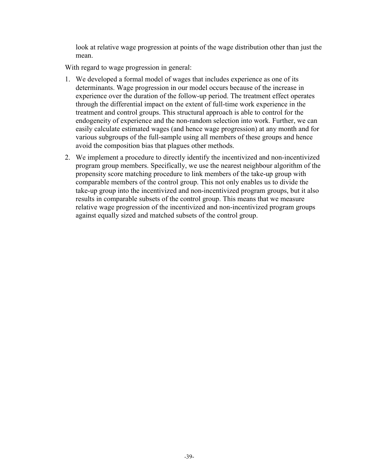look at relative wage progression at points of the wage distribution other than just the mean.

With regard to wage progression in general:

- 1. We developed a formal model of wages that includes experience as one of its determinants. Wage progression in our model occurs because of the increase in experience over the duration of the follow-up period. The treatment effect operates through the differential impact on the extent of full-time work experience in the treatment and control groups. This structural approach is able to control for the endogeneity of experience and the non-random selection into work. Further, we can easily calculate estimated wages (and hence wage progression) at any month and for various subgroups of the full-sample using all members of these groups and hence avoid the composition bias that plagues other methods.
- 2. We implement a procedure to directly identify the incentivized and non-incentivized program group members. Specifically, we use the nearest neighbour algorithm of the propensity score matching procedure to link members of the take-up group with comparable members of the control group. This not only enables us to divide the take-up group into the incentivized and non-incentivized program groups, but it also results in comparable subsets of the control group. This means that we measure relative wage progression of the incentivized and non-incentivized program groups against equally sized and matched subsets of the control group.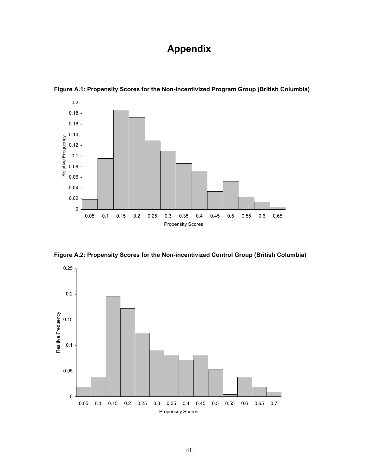# **Appendix**



**Figure A.1: Propensity Scores for the Non-incentivized Program Group (British Columbia)** 

**Figure A.2: Propensity Scores for the Non-incentivized Control Group (British Columbia)** 

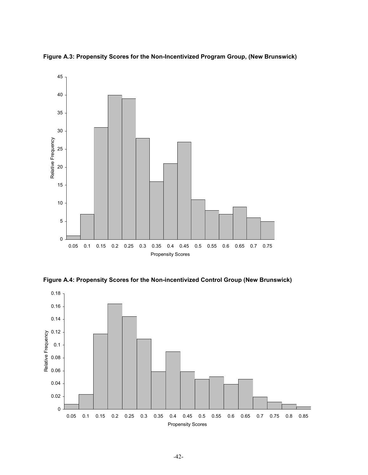

**Figure A.3: Propensity Scores for the Non-Incentivized Program Group, (New Brunswick)** 

**Figure A.4: Propensity Scores for the Non-incentivized Control Group (New Brunswick)** 

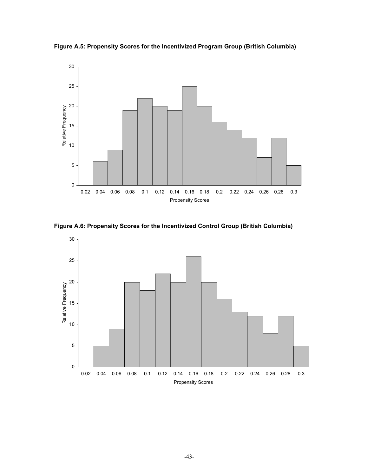**Figure A.5: Propensity Scores for the Incentivized Program Group (British Columbia)** 



**Figure A.6: Propensity Scores for the Incentivized Control Group (British Columbia)** 

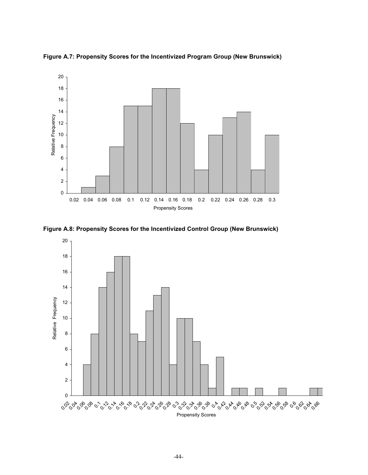

**Figure A.7: Propensity Scores for the Incentivized Program Group (New Brunswick)** 

**Figure A.8: Propensity Scores for the Incentivized Control Group (New Brunswick)**